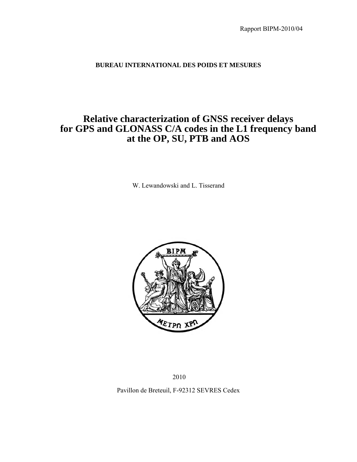#### **BUREAU INTERNATIONAL DES POIDS ET MESURES**

### **Relative characterization of GNSS receiver delays for GPS and GLONASS C/A codes in the L1 frequency band at the OP, SU, PTB and AOS**

W. Lewandowski and L. Tisserand



2010

Pavillon de Breteuil, F-92312 SEVRES Cedex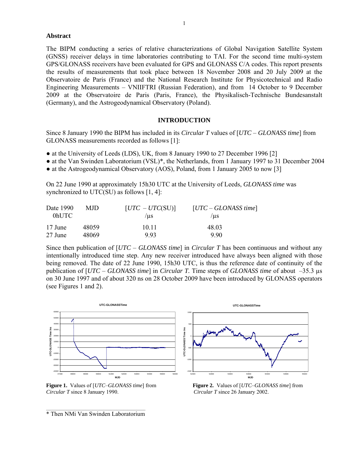#### **Abstract**

The BIPM conducting a series of relative characterizations of Global Navigation Satellite System (GNSS) receiver delays in time laboratories contributing to TAI. For the second time multi-system GPS/GLONASS receivers have been evaluated for GPS and GLONASS C/A codes. This report presents the results of measurements that took place between 18 November 2008 and 20 July 2009 at the Observatoire de Paris (France) and the National Research Institute for Physicotechnical and Radio Engineering Measurements – VNIIFTRI (Russian Federation), and from 14 October to 9 December 2009 at the Observatoire de Paris (Paris, France), the Physikalisch-Technische Bundesanstalt (Germany), and the Astrogeodynamical Observatory (Poland).

#### **INTRODUCTION**

Since 8 January 1990 the BIPM has included in its *Circular T* values of [*UTC* – *GLONASS time*] from GLONASS measurements recorded as follows [1]:

- at the University of Leeds (LDS), UK, from 8 January 1990 to 27 December 1996 [2]
- at the Van Swinden Laboratorium (VSL)\*, the Netherlands, from 1 January 1997 to 31 December 2004
- at the Astrogeodynamical Observatory (AOS), Poland, from 1 January 2005 to now [3]

On 22 June 1990 at approximately 15h30 UTC at the University of Leeds, *GLONASS time* was synchronized to UTC(SU) as follows [1, 4]:

| Date 1990 | MJD.  | $[UTC - UTC(SU)]$ | $[UTC - GLONASS time]$ |
|-----------|-------|-------------------|------------------------|
| $0$ hUTC  |       | /us               | /us                    |
| 17 June   | 48059 | 10 11             | 48.03                  |
| 27 June   | 48069 | 993               | 990                    |

Since then publication of [*UTC* – *GLONASS time*] in *Circular T* has been continuous and without any intentionally introduced time step. Any new receiver introduced have always been aligned with those being removed. The date of 22 June 1990, 15h30 UTC, is thus the reference date of continuity of the publication of [*UTC* – *GLONASS time*] in *Circular T.* Time steps of *GLONASS time* of about –35.3 µs on 30 June 1997 and of about 320 ns on 28 October 2009 have been introduced by GLONASS operators (see Figures 1 and 2).



**Figure 1.** Values of  $[UTC-GLONASS time]$  from **Figure 2.** Values of  $[UTC-GLONASS time]$  from *Circular T* since 8 January 1990. *Circular T* since 26 January 2002.

\_\_\_\_\_\_\_\_\_\_\_\_\_\_\_\_\_\_\_\_\_\_\_\_\_\_\_\_\_\_\_\_\_\_\_\_\_\_\_\_\_\_\_\_\_ \* Then NMi Van Swinden Laboratorium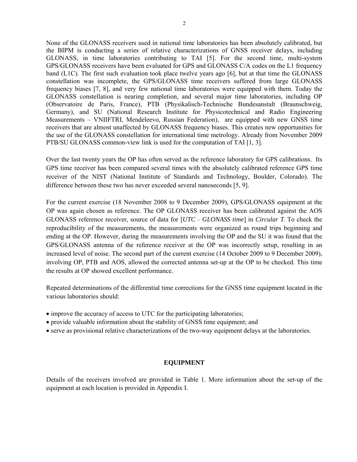None of the GLONASS receivers used in national time laboratories has been absolutely calibrated, but the BIPM is conducting a series of relative characterizations of GNSS receiver delays, including GLONASS, in time laboratories contributing to TAI [5]. For the second time, multi-system GPS/GLONASS receivers have been evaluated for GPS and GLONASS C/A codes on the L1 frequency band (L1C). The first such evaluation took place twelve years ago [6], but at that time the GLONASS constellation was incomplete, the GPS/GLONASS time receivers suffered from large GLONASS frequency biases [7, 8], and very few national time laboratories were equipped with them. Today the GLONASS constellation is nearing completion, and several major time laboratories, including OP (Observatoire de Paris, France), PTB (Physikalisch-Technische Bundesanstalt (Braunschweig, Germany), and SU (National Research Institute for Physicotechnical and Radio Engineering Measurements – VNIIFTRI, Mendeleevo, Russian Federation), are equipped with new GNSS time receivers that are almost unaffected by GLONASS frequency biases. This creates new opportunities for the use of the GLONASS constellation for international time metrology. Already from November 2009 PTB/SU GLONASS common-view link is used for the computation of TAI [1, 3].

Over the last twenty years the OP has often served as the reference laboratory for GPS calibrations. Its GPS time receiver has been compared several times with the absolutely calibrated reference GPS time receiver of the NIST (National Institute of Standards and Technology, Boulder, Colorado). The difference between these two has never exceeded several nanoseconds [5, 9].

For the current exercise (18 November 2008 to 9 December 2009), GPS/GLONASS equipment at the OP was again chosen as reference. The OP GLONASS receiver has been calibrated against the AOS GLONASS reference receiver, source of data for [*UTC* – *GLONASS time*] in *Circular T*. To check the reproducibility of the measurements, the measurements were organized as round trips beginning and ending at the OP. However, during the measurements involving the OP and the SU it was found that the GPS/GLONASS antenna of the reference receiver at the OP was incorrectly setup, resulting in an increased level of noise. The second part of the current exercise (14 October 2009 to 9 December 2009), involving OP, PTB and AOS, allowed the corrected antenna set-up at the OP to be checked. This time the results at OP showed excellent performance.

Repeated determinations of the differential time corrections for the GNSS time equipment located in the various laboratories should:

- improve the accuracy of access to UTC for the participating laboratories;
- provide valuable information about the stability of GNSS time equipment; and
- serve as provisional relative characterizations of the two-way equipment delays at the laboratories.

#### **EQUIPMENT**

Details of the receivers involved are provided in Table 1. More information about the set-up of the equipment at each location is provided in Appendix I.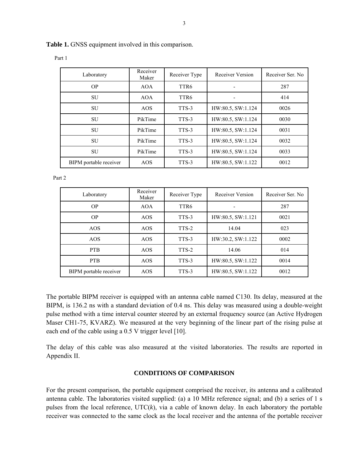| <b>Table 1.</b> GNSS equipment involved in this comparison. |  |
|-------------------------------------------------------------|--|

| Laboratory             | Receiver<br>Maker | Receiver Type | Receiver Version  | Receiver Ser. No. |
|------------------------|-------------------|---------------|-------------------|-------------------|
| <b>OP</b>              | <b>AOA</b>        | TTR6          |                   | 287               |
| SU                     | <b>AOA</b>        | TTR6          |                   | 414               |
| SU                     | <b>AOS</b>        | TTS-3         | HW:80.5, SW:1.124 | 0026              |
| SU                     | PikTime           | TTS-3         | HW:80.5, SW:1.124 | 0030              |
| SU                     | PikTime           | TTS-3         | HW:80.5, SW:1.124 | 0031              |
| SU                     | PikTime           | TTS-3         | HW:80.5, SW:1.124 | 0032              |
| SU                     | PikTime           | TTS-3         | HW:80.5, SW:1.124 | 0033              |
| BIPM portable receiver | AOS               | TTS-3         | HW:80.5, SW:1.122 | 0012              |

Part 1

Part 2

| Laboratory             | Receiver<br>Maker | Receiver Type    | Receiver Version  | Receiver Ser. No. |
|------------------------|-------------------|------------------|-------------------|-------------------|
| <b>OP</b>              | <b>AOA</b>        | TTR <sub>6</sub> |                   | 287               |
| <b>OP</b>              | AOS               | TTS-3            | HW:80.5, SW:1.121 | 0021              |
| AOS                    | <b>AOS</b>        | TTS-2            | 14.04             | 023               |
| AOS                    | AOS               | TTS-3            | HW:30.2, SW:1.122 | 0002              |
| <b>PTB</b>             | AOS               | TTS-2            | 14.06             | 014               |
| <b>PTB</b>             | AOS               | TTS-3            | HW:80.5, SW:1.122 | 0014              |
| BIPM portable receiver | AOS               | TTS-3            | HW:80.5, SW:1.122 | 0012              |

The portable BIPM receiver is equipped with an antenna cable named C130. Its delay, measured at the BIPM, is 136.2 ns with a standard deviation of 0.4 ns. This delay was measured using a double-weight pulse method with a time interval counter steered by an external frequency source (an Active Hydrogen Maser CH1-75, KVARZ). We measured at the very beginning of the linear part of the rising pulse at each end of the cable using a 0.5 V trigger level [10].

The delay of this cable was also measured at the visited laboratories. The results are reported in Appendix II.

#### **CONDITIONS OF COMPARISON**

For the present comparison, the portable equipment comprised the receiver, its antenna and a calibrated antenna cable. The laboratories visited supplied: (a) a 10 MHz reference signal; and (b) a series of 1 s pulses from the local reference,  $\text{UTC}(k)$ , via a cable of known delay. In each laboratory the portable receiver was connected to the same clock as the local receiver and the antenna of the portable receiver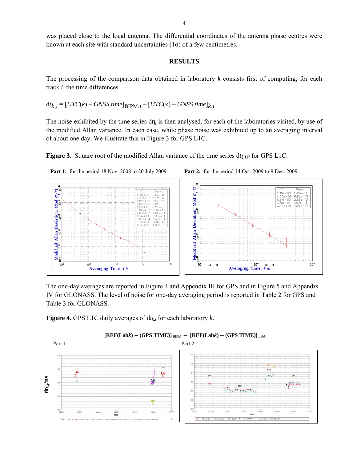was placed close to the local antenna. The differential coordinates of the antenna phase centres were known at each site with standard uncertainties  $(1\sigma)$  of a few centimetres.

#### **RESULTS**

The processing of the comparison data obtained in laboratory *k* consists first of computing, for each track *i*, the time differences

 $dt_{k,i} = [UTC(k) - GNSS time]_{\text{BIPM},i} - [UTC(k) - GNSS time]_{k,i}$ .

The noise exhibited by the time series  $dt_k$  is then analysed, for each of the laboratories visited, by use of the modified Allan variance. In each case, white phase noise was exhibited up to an averaging interval of about one day. We illustrate this in Figure 3 for GPS L1C.

**Figure 3.** Square root of the modified Allan variance of the time series  $dt_{\rm OP}$  for GPS L1C.







The one-day averages are reported in Figure 4 and Appendix III for GPS and in Figure 5 and Appendix IV for GLONASS. The level of noise for one-day averaging period is reported in Table 2 for GPS and Table 3 for GLONASS.

**Figure 4.** GPS L1C daily averages of  $dt_{k,i}$  for each laboratory  $k$ .



 $[REF(Labk)-(GPS TIME)]_{BIPM} - [REF(Labk)-(GPS TIME)]_{Labk}$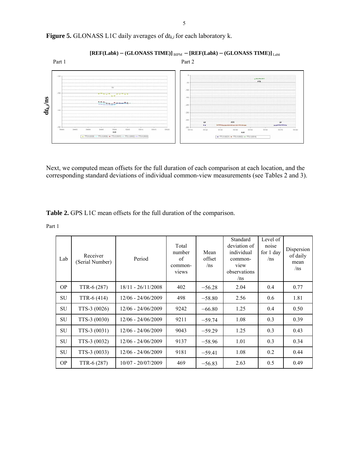

Figure 5. GLONASS L1C daily averages of  $dt_{k,i}$  for each laboratory k.

 $[REF(Labk)-(GLONASS TIME)]_{BIPM} - [REF(Labk)-(GLONASS TIME)]_{Labk}$ 

Next, we computed mean offsets for the full duration of each comparison at each location, and the corresponding standard deviations of individual common-view measurements (see Tables 2 and 3).

**Table 2.** GPS L1C mean offsets for the full duration of the comparison.

| Lab       | Receiver<br>(Serial Number) | Period               | Total<br>number<br>of<br>common-<br>views | Mean<br>offset<br>/ns | Standard<br>deviation of<br>individual<br>common-<br>view<br>observations<br>/ns | Level of<br>noise<br>for 1 day<br>/ns | Dispersion<br>of daily<br>mean<br>/ns |
|-----------|-----------------------------|----------------------|-------------------------------------------|-----------------------|----------------------------------------------------------------------------------|---------------------------------------|---------------------------------------|
| OP.       | TTR-6 (287)                 | $18/11 - 26/11/2008$ | 402                                       | $-56.28$              | 2.04                                                                             | 0.4                                   | 0.77                                  |
| <b>SU</b> | TTR-6 (414)                 | $12/06 - 24/06/2009$ | 498                                       | $-58.80$              | 2.56                                                                             | 0.6                                   | 1.81                                  |
| <b>SU</b> | TTS-3 (0026)                | $12/06 - 24/06/2009$ | 9242                                      | $-66.80$              | 1.25                                                                             | 0.4                                   | 0.50                                  |
| <b>SU</b> | TTS-3 (0030)                | $12/06 - 24/06/2009$ | 9211                                      | $-59.74$              | 1.08                                                                             | 0.3                                   | 0.39                                  |
| SU        | TTS-3 (0031)                | $12/06 - 24/06/2009$ | 9043                                      | $-59.29$              | 1.25                                                                             | 0.3                                   | 0.43                                  |
| <b>SU</b> | TTS-3 (0032)                | $12/06 - 24/06/2009$ | 9137                                      | $-58.96$              | 1.01                                                                             | 0.3                                   | 0.34                                  |
| <b>SU</b> | TTS-3 (0033)                | $12/06 - 24/06/2009$ | 9181                                      | $-59.41$              | 1.08                                                                             | 0.2                                   | 0.44                                  |
| <b>OP</b> | TTR-6 (287)                 | $10/07 - 20/07/2009$ | 469                                       | $-56.83$              | 2.63                                                                             | 0.5                                   | 0.49                                  |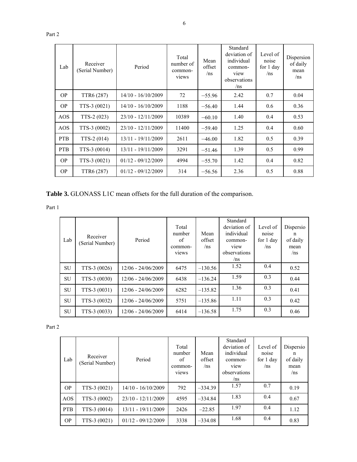|--|--|

| Lab        | Receiver<br>(Serial Number) | Period               | Total<br>number of<br>common-<br>views | Mean<br>offset<br>/ns | Standard<br>deviation of<br>individual<br>common-<br>view<br>observations<br>/ns | Level of<br>noise<br>for 1 day<br>/ns | Dispersion<br>of daily<br>mean<br>/ns |
|------------|-----------------------------|----------------------|----------------------------------------|-----------------------|----------------------------------------------------------------------------------|---------------------------------------|---------------------------------------|
| OP.        | TTR6 (287)                  | 14/10 - 16/10/2009   | 72                                     | $-55.96$              | 2.42                                                                             | 0.7                                   | 0.04                                  |
| <b>OP</b>  | TTS-3 (0021)                | $14/10 - 16/10/2009$ | 1188                                   | $-56.40$              | 1.44                                                                             | 0.6                                   | 0.36                                  |
| AOS        | $TTS-2(023)$                | 23/10 - 12/11/2009   | 10389                                  | $-60.10$              | 1.40                                                                             | 0.4                                   | 0.53                                  |
| <b>AOS</b> | TTS-3 (0002)                | $23/10 - 12/11/2009$ | 11400                                  | $-59.40$              | 1.25                                                                             | 0.4                                   | 0.60                                  |
| <b>PTB</b> | TTS-2 (014)                 | $13/11 - 19/11/2009$ | 2611                                   | $-46.00$              | 1.82                                                                             | 0.5                                   | 0.39                                  |
| <b>PTB</b> | TTS-3 (0014)                | 13/11 - 19/11/2009   | 3291                                   | $-51.46$              | 1.39                                                                             | 0.5                                   | 0.99                                  |
| <b>OP</b>  | TTS-3 (0021)                | $01/12 - 09/12/2009$ | 4994                                   | $-55.70$              | 1.42                                                                             | 0.4                                   | 0.82                                  |
| <b>OP</b>  | TTR6 (287)                  | $01/12 - 09/12/2009$ | 314                                    | $-56.56$              | 2.36                                                                             | 0.5                                   | 0.88                                  |

**Table 3.** GLONASS L1C mean offsets for the full duration of the comparison.

Part 1

| Lab       | Receiver<br>(Serial Number) | Period               | Total<br>number<br>of<br>common-<br>views | Mean<br>offset<br>/ns | Standard<br>deviation of<br>individual<br>common-<br>view<br>observations<br>/ns | Level of<br>noise<br>for 1 day<br>/ns | Dispersio<br>n<br>of daily<br>mean<br>/ns |
|-----------|-----------------------------|----------------------|-------------------------------------------|-----------------------|----------------------------------------------------------------------------------|---------------------------------------|-------------------------------------------|
| <b>SU</b> | TTS-3 (0026)                | $12/06 - 24/06/2009$ | 6475                                      | $-130.56$             | 1.52                                                                             | 0.4                                   | 0.52                                      |
| <b>SU</b> | TTS-3 (0030)                | $12/06 - 24/06/2009$ | 6438                                      | $-136.24$             | 1.59                                                                             | 0.3                                   | 0.44                                      |
| <b>SU</b> | TTS-3 (0031)                | $12/06 - 24/06/2009$ | 6282                                      | $-135.82$             | 1.36                                                                             | 0.3                                   | 0.41                                      |
| <b>SU</b> | TTS-3 (0032)                | $12/06 - 24/06/2009$ | 5751                                      | $-135.86$             | 1.11                                                                             | 0.3                                   | 0.42                                      |
| <b>SU</b> | TTS-3 (0033)                | $12/06 - 24/06/2009$ | 6414                                      | $-136.58$             | 1.75                                                                             | 0.3                                   | 0.46                                      |

| Lab        | Receiver<br>(Serial Number) | Period               | Total<br>number<br>of<br>common-<br>views | Mean<br>offset<br>/ns | Standard<br>deviation of<br>individual<br>common-<br>view<br>observations<br>/ns | Level of<br>noise<br>for 1 day<br>/ns | Dispersio<br>n<br>of daily<br>mean<br>/ns |
|------------|-----------------------------|----------------------|-------------------------------------------|-----------------------|----------------------------------------------------------------------------------|---------------------------------------|-------------------------------------------|
| <b>OP</b>  | TTS-3 (0021)                | $14/10 - 16/10/2009$ | 792                                       | $-334.39$             | 1.57                                                                             | 0.7                                   | 0.19                                      |
| AOS        | TTS-3 (0002)                | 23/10 - 12/11/2009   | 4595                                      | $-334.84$             | 1.83                                                                             | 0.4                                   | 0.67                                      |
| <b>PTB</b> | $TTS-3(0014)$               | 13/11 - 19/11/2009   | 2426                                      | $-22.85$              | 1.97                                                                             | 0.4                                   | 1.12                                      |
| <b>OP</b>  | TTS-3 (0021)                | $01/12 - 09/12/2009$ | 3338                                      | $-334.08$             | 1.68                                                                             | 0.4                                   | 0.83                                      |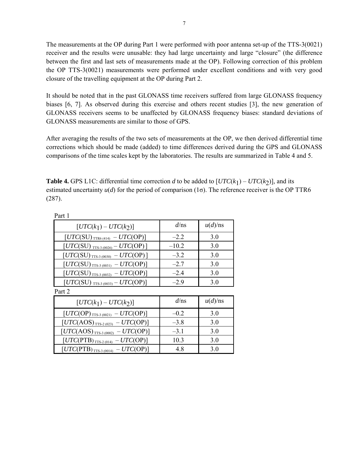The measurements at the OP during Part 1 were performed with poor antenna set-up of the TTS-3(0021) receiver and the results were unusable: they had large uncertainty and large "closure" (the difference between the first and last sets of measurements made at the OP). Following correction of this problem the OP TTS-3(0021) measurements were performed under excellent conditions and with very good closure of the travelling equipment at the OP during Part 2.

It should be noted that in the past GLONASS time receivers suffered from large GLONASS frequency biases [6, 7]. As observed during this exercise and others recent studies [3], the new generation of GLONASS receivers seems to be unaffected by GLONASS frequency biases: standard deviations of GLONASS measurements are similar to those of GPS.

After averaging the results of the two sets of measurements at the OP, we then derived differential time corrections which should be made (added) to time differences derived during the GPS and GLONASS comparisons of the time scales kept by the laboratories. The results are summarized in Table 4 and 5.

**Table 4.** GPS L1C: differential time correction *d* to be added to  $[UTC(k_1) - UTC(k_2)]$ , and its estimated uncertainty  $u(d)$  for the period of comparison (1 $\sigma$ ). The reference receiver is the OP TTR6 (287).

| $[UTC(k_1) - UTC(k_2)]$                                                               | $d$ /ns | u(d)/ns |  |
|---------------------------------------------------------------------------------------|---------|---------|--|
| $[{\mathit{UTC}}({\mathit{SU}})_{\texttt{ITR6 (414)}}-{\mathit{UTC}}({\mathit{OP}})]$ | $-2.2$  | 3.0     |  |
| $[UTC(SU)_{TTS-3 (0026)} - UTC(OP)]$                                                  | $-10.2$ | 3.0     |  |
| $[UTC(SU)_{TTS-3(0030)} - UTC(OP)]$                                                   | $-3.2$  | 3.0     |  |
| $[UTC(SU)_{TTS-3(0031)} - UTC(OP)]$                                                   | $-2.7$  | 3.0     |  |
| $[UTC(SU)_{TTS-3(0032)} - UTC(OP)]$                                                   | $-2.4$  | 3.0     |  |
| $[UTC(SU)_{TTS-3(0033)} - UTC(OP)]$                                                   | $-2.9$  | 3.0     |  |
| Part 2                                                                                |         |         |  |
| $[UTC(k_1) - UTC(k_2)]$                                                               | $d$ /ns | u(d)/ns |  |
| $[UTC(OP)_{TTS-3 (0021)} - UTC(OP)]$                                                  | $-0.2$  | 3.0     |  |
| $[UTC(AOS)_{TTS-2(023)} - UTC(OP)]$                                                   | $-3.8$  | 3.0     |  |
| $[UTC(\mathrm{AOS})_{\mathrm{TTS\text{-}3~(0002)}} - UTC(\mathrm{OP})]$               | $-3.1$  | 3.0     |  |
| $[UTC(PTB)_{TTS-2(014)} - UTC(OP)]$                                                   | 10.3    | 3.0     |  |
| $[UTC(PTB)_{TTS-3(0014)} - UTC(OP)]$                                                  | 4.8     | 3.0     |  |
|                                                                                       |         |         |  |

Part 1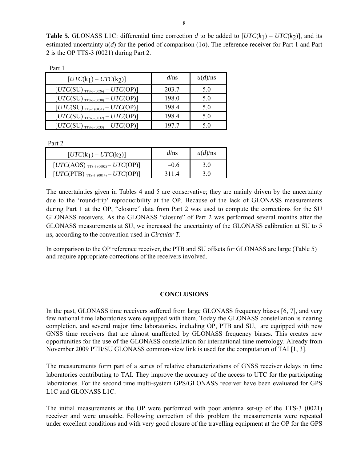**Table 5.** GLONASS L1C: differential time correction *d* to be added to  $[UTC(k_1) - UTC(k_2)]$ , and its estimated uncertainty *u*(*d*) for the period of comparison (1σ). The reference receiver for Part 1 and Part 2 is the OP TTS-3 (0021) during Part 2.

| rait i                               |         |         |  |  |  |
|--------------------------------------|---------|---------|--|--|--|
| $[UTC(k_1) - UTC(k_2)]$              | $d$ /ns | u(d)/ns |  |  |  |
| $[UTC(SU)_{TTS-3(0026)} - UTC(OP)]$  | 203.7   | 5.0     |  |  |  |
| $[UTC(SU)_{TTS-3(0030)} - UTC(OP)]$  | 198.0   | 5.0     |  |  |  |
| $[UTC(SU)_{TTS-3(0031)} - UTC(OP)]$  | 198.4   | 5.0     |  |  |  |
| $[UTC(SU)_{TTS-3(0032)} - UTC(OP)]$  | 198.4   | 5.0     |  |  |  |
| $[UTC(SU)_{TTS-3 (0033)} - UTC(OP)]$ | 1977    | ና በ     |  |  |  |

Part 2

 $D_{\alpha r+1}$ 

| $[UTC(k_1) - UTC(k_2)]$                          | $d$ /ns | $u(d)$ /ns |
|--------------------------------------------------|---------|------------|
| $[UTC(AOS)_{TTS-3 (0002)} - UTC(OP)]$            | –0.6    |            |
| $[UTC(PTB)$ <sub>TTS-3</sub> (0014) – $UTC(OP)]$ | 3114    | 30         |

The uncertainties given in Tables 4 and 5 are conservative; they are mainly driven by the uncertainty due to the 'round-trip' reproducibility at the OP. Because of the lack of GLONASS measurements during Part 1 at the OP, "closure" data from Part 2 was used to compute the corrections for the SU GLONASS receivers. As the GLONASS "closure" of Part 2 was performed several months after the GLONASS measurements at SU, we increased the uncertainty of the GLONASS calibration at SU to 5 ns, according to the convention used in *Circular T*.

In comparison to the OP reference receiver, the PTB and SU offsets for GLONASS are large (Table 5) and require appropriate corrections of the receivers involved.

#### **CONCLUSIONS**

In the past, GLONASS time receivers suffered from large GLONASS frequency biases [6, 7], and very few national time laboratories were equipped with them. Today the GLONASS constellation is nearing completion, and several major time laboratories, including OP, PTB and SU, are equipped with new GNSS time receivers that are almost unaffected by GLONASS frequency biases. This creates new opportunities for the use of the GLONASS constellation for international time metrology. Already from November 2009 PTB/SU GLONASS common-view link is used for the computation of TAI [1, 3].

The measurements form part of a series of relative characterizations of GNSS receiver delays in time laboratories contributing to TAI. They improve the accuracy of the access to UTC for the participating laboratories. For the second time multi-system GPS/GLONASS receiver have been evaluated for GPS L1C and GLONASS L1C.

The initial measurements at the OP were performed with poor antenna set-up of the TTS-3 (0021) receiver and were unusable. Following correction of this problem the measurements were repeated under excellent conditions and with very good closure of the travelling equipment at the OP for the GPS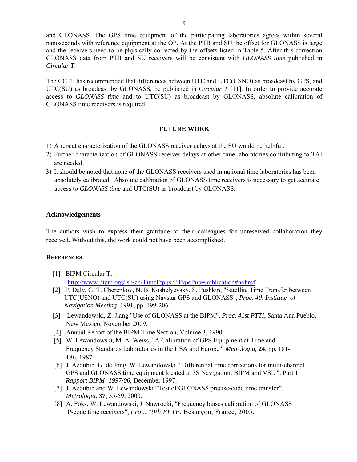and GLONASS. The GPS time equipment of the participating laboratories agrees within several nanoseconds with reference equipment at the OP. At the PTB and SU the offset for GLONASS is large and the receivers need to be physically corrected by the offsets listed in Table 5. After this correction GLONASS data from PTB and SU receivers will be consistent with *GLONASS time* published in *Circular T*.

The CCTF has recommended that differences between UTC and UTC(USNO) as broadcast by GPS, and UTC(SU) as broadcast by GLONASS, be published in *Circular T* [11]. In order to provide accurate access to *GLONASS time* and to UTC(SU) as broadcast by GLONASS, absolute calibration of GLONASS time receivers is required.

#### **FUTURE WORK**

- 1) A repeat characterization of the GLONASS receiver delays at the SU would be helpful.
- 2) Further characterization of GLONASS receiver delays at other time laboratories contributing to TAI are needed.
- 3) It should be noted that none of the GLONASS receivers used in national time laboratories has been absolutely calibrated. Absolute calibration of GLONASS time receivers is necessary to get accurate access to *GLONASS time* and UTC(SU) as broadcast by GLONASS.

#### **Acknowledgements**

The authors wish to express their gratitude to their colleagues for unreserved collaboration they received. Without this, the work could not have been accomplished.

#### **REFERENCES**

[1] BIPM Circular T,

http://www.bipm.org/jsp/en/TimeFtp.jsp?TypePub=publication#nohref

- [2] P. Daly, G. T. Cherenkov, N. B. Koshelyevsky, S. Pushkin, "Satellite Time Transfer between UTC(USNO) and UTC(SU) using Navstar GPS and GLONASS", *Proc. 4th Institute of Navigation Meeting,* 1991, pp. 199-206.
- [3] Lewandowski, Z. Jiang "Use of GLONASS at the BIPM", *Proc. 41st PTTI*, Santa Ana Pueblo, New Mexico, November 2009.
- [4] Annual Report of the BIPM Time Section, Volume 3, 1990.
- [5] W. Lewandowski, M. A. Weiss, "A Calibration of GPS Equipment at Time and Frequency Standards Laboratories in the USA and Europe", *Metrologia,* **24**, pp. 181- 186, 1987.
- [6] J. Azoubib. G. de Jong, W. Lewandowski, "Differential time corrections for multi-channel GPS and GLONASS time equipment located at 3S Navigation, BIPM and VSL ", Part 1, *Rapport BIPM -1997/06*, December 1997.
- [7] J. Azoubib and W. Lewandowski "Test of GLONASS precise-code time transfer", *Metrologia*, **37**, 55-59, 2000.
- [8] A. Foks, W. Lewandowski, J. Nawrocki, "Frequency biases calibration of GLONASS P-code time receivers", *Proc. 19th EFTF*, Besançon, France, 2005.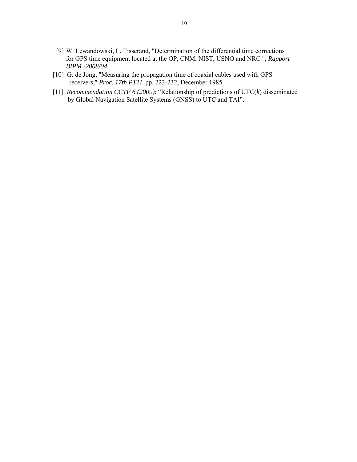- [9] W. Lewandowski, L. Tisserand, "Determination of the differential time corrections for GPS time equipment located at the OP, CNM, NIST, USNO and NRC ", *Rapport BIPM -2008/04*.
- [10] G. de Jong, "Measuring the propagation time of coaxial cables used with GPS receivers," *Proc. 17th PTTI,* pp. 223-232, December 1985.
- [11] *Recommendation CCTF 6 (2009)*: "Relationship of predictions of UTC(*k*) disseminated by Global Navigation Satellite Systems (GNSS) to UTC and TAI".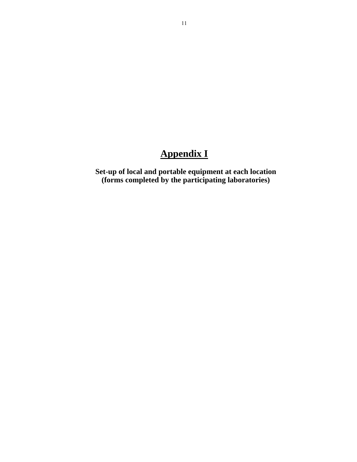## **Appendix I**

**Set-up of local and portable equipment at each location (forms completed by the participating laboratories)**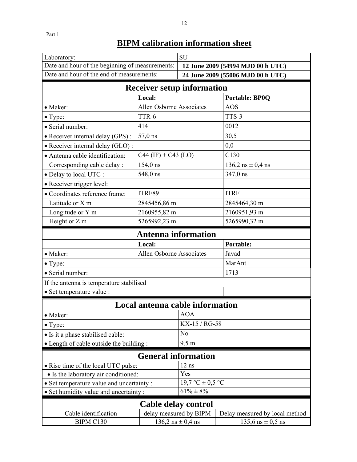| Laboratory:                                     |                                 | <b>SU</b>                                                |                         |  |
|-------------------------------------------------|---------------------------------|----------------------------------------------------------|-------------------------|--|
| Date and hour of the beginning of measurements: |                                 | 12 June 2009 (54994 MJD 00 h UTC)                        |                         |  |
| Date and hour of the end of measurements:       |                                 | 24 June 2009 (55006 MJD 00 h UTC)                        |                         |  |
| <b>Receiver setup information</b>               |                                 |                                                          |                         |  |
|                                                 | Local:                          |                                                          | <b>Portable: BP0Q</b>   |  |
| • Maker:                                        | Allen Osborne Associates        |                                                          | <b>AOS</b>              |  |
| • Type:                                         | TTR-6                           |                                                          | TTS-3                   |  |
| · Serial number:                                | 414                             |                                                          | 0012                    |  |
| • Receiver internal delay (GPS):                | 57,0 ns                         |                                                          | 30,5                    |  |
| • Receiver internal delay (GLO):                |                                 |                                                          | 0,0                     |  |
| • Antenna cable identification:                 | $C44$ (IF) + $C43$ (LO)         |                                                          | C130                    |  |
| Corresponding cable delay :                     | $154,0$ ns                      |                                                          | $136,2$ ns $\pm 0,4$ ns |  |
| · Delay to local UTC :                          | 548,0 ns                        |                                                          | 347,0 ns                |  |
| · Receiver trigger level:                       |                                 |                                                          |                         |  |
| · Coordinates reference frame:                  | ITRF89                          |                                                          | <b>ITRF</b>             |  |
| Latitude or X m                                 | 2845456,86 m                    |                                                          | 2845464,30 m            |  |
| Longitude or Y m                                | 2160955,82 m                    |                                                          | 2160951,93 m            |  |
| Height or Z m                                   | 5265992,23 m                    |                                                          | 5265990,32 m            |  |
|                                                 | <b>Antenna information</b>      |                                                          |                         |  |
|                                                 | Local:                          |                                                          | <b>Portable:</b>        |  |
| • Maker:                                        | <b>Allen Osborne Associates</b> |                                                          | Javad                   |  |
| $\bullet$ Type:                                 |                                 |                                                          | MarAnt+                 |  |
| · Serial number:                                |                                 |                                                          | 1713                    |  |
| If the antenna is temperature stabilised        |                                 |                                                          |                         |  |
| · Set temperature value :                       |                                 |                                                          | $\blacksquare$          |  |
|                                                 | Local antenna cable information |                                                          |                         |  |
| · Maker:                                        |                                 | AOA                                                      |                         |  |
| $\bullet$ Type:                                 |                                 | KX-15 / RG-58                                            |                         |  |
| • Is it a phase stabilised cable:               |                                 | N <sub>o</sub>                                           |                         |  |
| • Length of cable outside the building:         |                                 | $9,5 \text{ m}$                                          |                         |  |
| <b>General information</b>                      |                                 |                                                          |                         |  |
| • Rise time of the local UTC pulse:             |                                 | $12$ ns                                                  |                         |  |
| • Is the laboratory air conditioned:            |                                 | Yes                                                      |                         |  |
| • Set temperature value and uncertainty :       |                                 | $19.7 °C \pm 0.5 °C$                                     |                         |  |
| • Set humidity value and uncertainty :          |                                 | $61\% \pm 8\%$                                           |                         |  |
| <b>Cable delay control</b>                      |                                 |                                                          |                         |  |
| Cable identification                            |                                 | delay measured by BIPM<br>Delay measured by local method |                         |  |
|                                                 |                                 |                                                          |                         |  |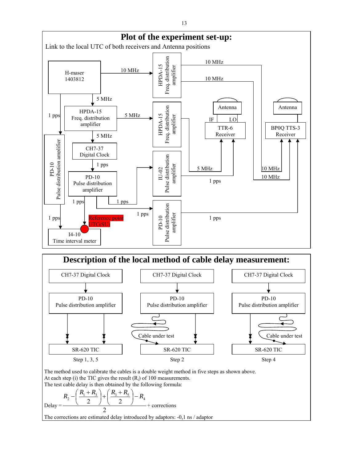



The method used to calibrate the cables is a double weight method in five steps as shown above. At each step (i) the TIC gives the result  $(R_i)$  of 100 measurements. The test cable delay is then obtained by the following formula:

$$
\text{Delay} = \frac{R_2 - \left(\frac{R_1 + R_3}{2}\right) + \left(\frac{R_3 + R_5}{2}\right) - R_4}{2} + \text{ corrections}
$$

The corrections are estimated delay introduced by adaptors: -0,1 ns / adaptor

13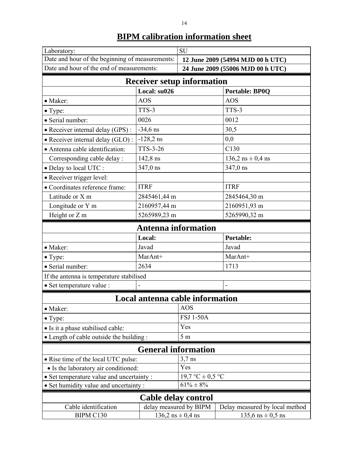| Laboratory:                                     |                                   | SU                                |                                |  |  |
|-------------------------------------------------|-----------------------------------|-----------------------------------|--------------------------------|--|--|
| Date and hour of the beginning of measurements: |                                   | 12 June 2009 (54994 MJD 00 h UTC) |                                |  |  |
| Date and hour of the end of measurements:       |                                   | 24 June 2009 (55006 MJD 00 h UTC) |                                |  |  |
|                                                 | <b>Receiver setup information</b> |                                   |                                |  |  |
|                                                 | Local: su026                      |                                   | <b>Portable: BP0Q</b>          |  |  |
| • Maker:                                        | <b>AOS</b>                        |                                   | <b>AOS</b>                     |  |  |
| $\bullet$ Type:                                 | TTS-3                             |                                   | TTS-3                          |  |  |
| · Serial number:                                | 0026                              |                                   | 0012                           |  |  |
| • Receiver internal delay (GPS):                | $-34,6$ ns                        |                                   | 30,5                           |  |  |
| • Receiver internal delay (GLO) :               | $-128,2$ ns                       |                                   | 0,0                            |  |  |
| • Antenna cable identification:                 | <b>TTS-3-26</b>                   |                                   | C130                           |  |  |
| Corresponding cable delay :                     | 142,8 ns                          |                                   | $136,2$ ns $\pm 0,4$ ns        |  |  |
| • Delay to local UTC :                          | 347,0 ns                          |                                   | 347,0 ns                       |  |  |
| • Receiver trigger level:                       |                                   |                                   |                                |  |  |
| • Coordinates reference frame:                  | <b>ITRF</b>                       |                                   | <b>ITRF</b>                    |  |  |
| Latitude or X m                                 | 2845461,44 m                      |                                   | 2845464,30 m                   |  |  |
| Longitude or Y m                                | 2160957,44 m                      |                                   | 2160951,93 m                   |  |  |
| Height or Z m                                   | 5265989,23 m                      |                                   | 5265990,32 m                   |  |  |
| <b>Antenna information</b>                      |                                   |                                   |                                |  |  |
|                                                 | Local:<br><b>Portable:</b>        |                                   |                                |  |  |
| • Maker:                                        | Javad                             |                                   | Javad                          |  |  |
| $\bullet$ Type:                                 | MarAnt+                           |                                   | MarAnt+                        |  |  |
| · Serial number:                                | 2634                              |                                   | 1713                           |  |  |
| If the antenna is temperature stabilised        |                                   |                                   |                                |  |  |
| · Set temperature value :                       |                                   |                                   |                                |  |  |
|                                                 | Local antenna cable information   |                                   |                                |  |  |
| · Maker:                                        |                                   | <b>AOS</b>                        |                                |  |  |
| • Type:                                         |                                   | <b>FSJ 1-50A</b>                  |                                |  |  |
| • Is it a phase stabilised cable:               |                                   |                                   | Yes                            |  |  |
| • Length of cable outside the building:         |                                   | 5m                                |                                |  |  |
|                                                 | <b>General information</b>        |                                   |                                |  |  |
| • Rise time of the local UTC pulse:             |                                   | $3,7$ ns                          |                                |  |  |
| • Is the laboratory air conditioned:            |                                   | Yes                               |                                |  |  |
| • Set temperature value and uncertainty:        |                                   | $19.7 °C \pm 0.5 °C$              |                                |  |  |
| • Set humidity value and uncertainty:           |                                   | $61\% \pm 8\%$                    |                                |  |  |
| Cable delay control                             |                                   |                                   |                                |  |  |
| Cable identification                            | delay measured by BIPM            |                                   | Delay measured by local method |  |  |
| BIPM C130                                       |                                   | $136,2$ ns $\pm 0,4$ ns           | $135,6$ ns $\pm 0,5$ ns        |  |  |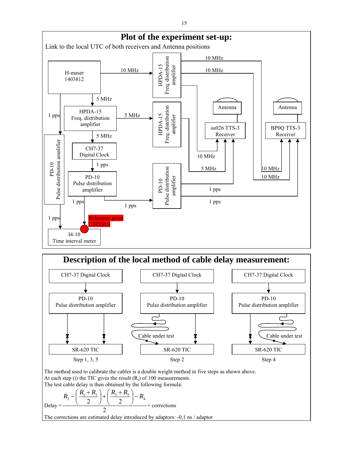



The method used to calibrate the cables is a double weight method in five steps as shown above. At each step (i) the TIC gives the result  $(R_i)$  of 100 measurements. The test cable delay is then obtained by the following formula:

$$
\text{Delay} = \frac{R_2 - \left(\frac{R_1 + R_3}{2}\right) + \left(\frac{R_3 + R_5}{2}\right) - R_4}{2} + \text{ corrections}
$$

The corrections are estimated delay introduced by adaptors: -0,1 ns / adaptor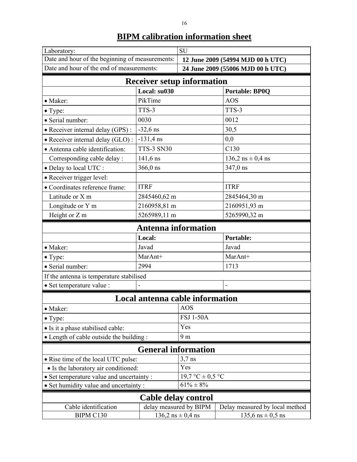|                                                                |                                                   | <b>SU</b>                         |                                |  |
|----------------------------------------------------------------|---------------------------------------------------|-----------------------------------|--------------------------------|--|
| Laboratory:<br>Date and hour of the beginning of measurements: |                                                   | 12 June 2009 (54994 MJD 00 h UTC) |                                |  |
| Date and hour of the end of measurements:                      |                                                   | 24 June 2009 (55006 MJD 00 h UTC) |                                |  |
|                                                                |                                                   |                                   |                                |  |
|                                                                | <b>Receiver setup information</b><br>Local: su030 |                                   | <b>Portable: BP0Q</b>          |  |
| • Maker:                                                       | PikTime                                           |                                   | <b>AOS</b>                     |  |
| • Type:                                                        | TTS-3                                             |                                   | TTS-3                          |  |
| · Serial number:                                               | 0030                                              |                                   | 0012                           |  |
| · Receiver internal delay (GPS):                               | $-32,6$ ns                                        |                                   | 30,5                           |  |
| • Receiver internal delay (GLO):                               | $-131,4$ ns                                       |                                   | 0,0                            |  |
| • Antenna cable identification:                                | <b>TTS-3 SN30</b>                                 |                                   | C130                           |  |
| Corresponding cable delay :                                    | 141,6 ns                                          |                                   | $136,2$ ns $\pm$ 0,4 ns        |  |
| • Delay to local UTC :                                         | $366,0$ ns                                        |                                   | 347,0 ns                       |  |
| • Receiver trigger level:                                      |                                                   |                                   |                                |  |
| • Coordinates reference frame:                                 | <b>ITRF</b>                                       |                                   | <b>ITRF</b>                    |  |
| Latitude or X m                                                | 2845460,62 m                                      |                                   | 2845464,30 m                   |  |
| Longitude or Y m                                               | 2160958,81 m                                      |                                   | 2160951,93 m                   |  |
| Height or Z m                                                  | 5265989,11 m                                      |                                   | 5265990,32 m                   |  |
|                                                                | <b>Antenna information</b>                        |                                   |                                |  |
| Local:<br>Portable:                                            |                                                   |                                   |                                |  |
| • Maker:                                                       | Javad                                             |                                   | Javad                          |  |
| $\bullet$ Type:                                                | MarAnt+                                           |                                   | MarAnt+                        |  |
| · Serial number:                                               | 2994                                              |                                   | 1713                           |  |
| If the antenna is temperature stabilised                       |                                                   |                                   |                                |  |
| · Set temperature value :                                      |                                                   |                                   |                                |  |
|                                                                | Local antenna cable information                   |                                   |                                |  |
| • Maker:                                                       |                                                   | <b>AOS</b>                        |                                |  |
| $\bullet$ Type:                                                |                                                   | <b>FSJ 1-50A</b>                  |                                |  |
| • Is it a phase stabilised cable:                              |                                                   |                                   | Yes                            |  |
| • Length of cable outside the building:                        |                                                   | 9 <sub>m</sub>                    |                                |  |
|                                                                | <b>General information</b>                        |                                   |                                |  |
| • Rise time of the local UTC pulse:                            |                                                   | $3,7$ ns                          |                                |  |
| • Is the laboratory air conditioned:                           |                                                   | Yes                               |                                |  |
| • Set temperature value and uncertainty :                      |                                                   | 19,7 °C $\pm$ 0,5 °C              |                                |  |
| • Set humidity value and uncertainty:                          |                                                   | $61\% \pm 8\%$                    |                                |  |
| Cable delay control                                            |                                                   |                                   |                                |  |
| Cable identification                                           | delay measured by BIPM                            |                                   | Delay measured by local method |  |
| BIPM C130                                                      |                                                   | $136,2$ ns $\pm 0,4$ ns           | $135,6$ ns $\pm 0,5$ ns        |  |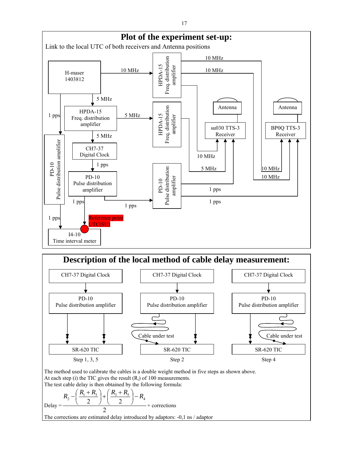



The method used to calibrate the cables is a double weight method in five steps as shown above. At each step (i) the TIC gives the result  $(R_i)$  of 100 measurements. The test cable delay is then obtained by the following formula:

$$
\text{Delay} = \frac{R_2 - \left(\frac{R_1 + R_3}{2}\right) + \left(\frac{R_3 + R_5}{2}\right) - R_4}{2} + \text{ corrections}
$$

The corrections are estimated delay introduced by adaptors: -0,1 ns / adaptor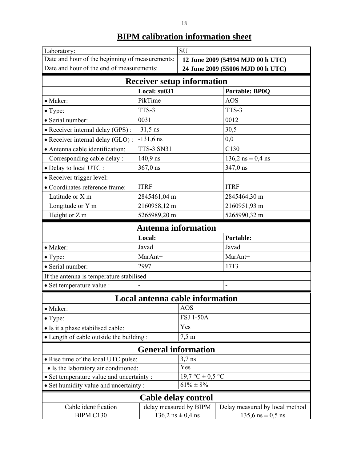| × |              |
|---|--------------|
|   |              |
|   | I            |
|   | ٦<br>×<br>۰, |

| Laboratory:                                     |                                 | <b>SU</b>                         |                                |  |
|-------------------------------------------------|---------------------------------|-----------------------------------|--------------------------------|--|
| Date and hour of the beginning of measurements: |                                 | 12 June 2009 (54994 MJD 00 h UTC) |                                |  |
| Date and hour of the end of measurements:       |                                 | 24 June 2009 (55006 MJD 00 h UTC) |                                |  |
| <b>Receiver setup information</b>               |                                 |                                   |                                |  |
|                                                 | Local: su031                    |                                   | <b>Portable: BP0Q</b>          |  |
| • Maker:                                        | PikTime                         |                                   | <b>AOS</b>                     |  |
| $\bullet$ Type:                                 | TTS-3                           |                                   | TTS-3                          |  |
| · Serial number:                                | 0031                            |                                   | 0012                           |  |
| • Receiver internal delay (GPS) :               | $-31,5$ ns                      |                                   | 30,5                           |  |
| · Receiver internal delay (GLO):                | $-131,6$ ns                     |                                   | 0,0                            |  |
| • Antenna cable identification:                 | <b>TTS-3 SN31</b>               |                                   | C130                           |  |
| Corresponding cable delay :                     | 140,9 ns                        |                                   | $136,2$ ns $\pm$ 0,4 ns        |  |
| · Delay to local UTC :                          | $367,0$ ns                      |                                   | 347,0 ns                       |  |
| · Receiver trigger level:                       |                                 |                                   |                                |  |
| • Coordinates reference frame:                  | <b>ITRF</b>                     |                                   | <b>ITRF</b>                    |  |
| Latitude or X m                                 | 2845461,04 m                    |                                   | 2845464,30 m                   |  |
| Longitude or Y m                                | 2160958,12 m                    |                                   | 2160951,93 m                   |  |
| Height or Z m                                   | 5265989,20 m                    |                                   | 5265990,32 m                   |  |
|                                                 | <b>Antenna information</b>      |                                   |                                |  |
| Local:<br>Portable:                             |                                 |                                   |                                |  |
| • Maker:                                        | Javad                           |                                   | Javad                          |  |
| $\bullet$ Type:                                 | MarAnt+                         |                                   | MarAnt+                        |  |
| · Serial number:                                | 2997                            |                                   | 1713                           |  |
| If the antenna is temperature stabilised        |                                 |                                   |                                |  |
| · Set temperature value :                       |                                 |                                   |                                |  |
|                                                 | Local antenna cable information |                                   |                                |  |
| • Maker:                                        |                                 | <b>AOS</b>                        |                                |  |
| $\bullet$ Type:                                 |                                 | <b>FSJ 1-50A</b>                  |                                |  |
| • Is it a phase stabilised cable:               |                                 | Yes                               |                                |  |
| • Length of cable outside the building:         |                                 | $7,5 \text{ m}$                   |                                |  |
| <b>General information</b>                      |                                 |                                   |                                |  |
| • Rise time of the local UTC pulse:             |                                 | $3,7$ ns                          |                                |  |
| • Is the laboratory air conditioned:            |                                 | Yes                               |                                |  |
| • Set temperature value and uncertainty :       |                                 | $19.7 °C \pm 0.5 °C$              |                                |  |
| • Set humidity value and uncertainty:           |                                 | $61\% \pm 8\%$                    |                                |  |
|                                                 | Cable delay control             |                                   |                                |  |
| Cable identification                            |                                 | delay measured by BIPM            | Delay measured by local method |  |
| BIPM C130                                       |                                 | $136,2$ ns $\pm 0,4$ ns           | $135,6$ ns $\pm 0,5$ ns        |  |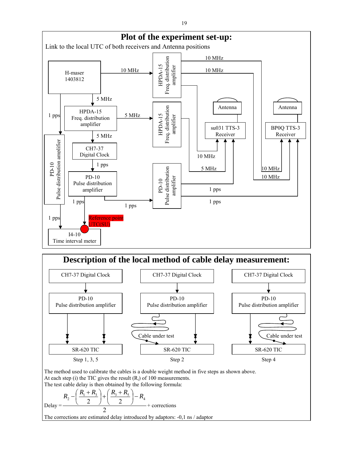



The method used to calibrate the cables is a double weight method in five steps as shown above. At each step (i) the TIC gives the result  $(R_i)$  of 100 measurements. The test cable delay is then obtained by the following formula:

$$
\text{Delay} = \frac{R_2 - \left(\frac{R_1 + R_3}{2}\right) + \left(\frac{R_3 + R_5}{2}\right) - R_4}{2} + \text{ corrections}
$$

The corrections are estimated delay introduced by adaptors: -0,1 ns / adaptor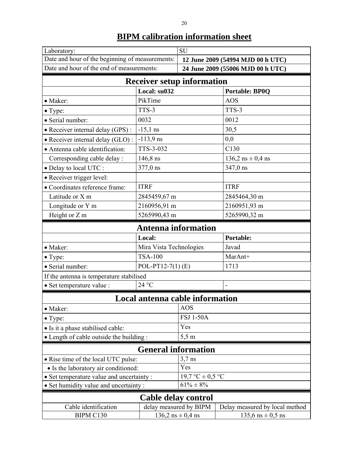| ۰, |    |
|----|----|
|    | ۰. |
|    |    |
|    |    |
|    | ۰. |
|    |    |

| Laboratory:                                     |                                 | <b>SU</b>                         |                                   |  |
|-------------------------------------------------|---------------------------------|-----------------------------------|-----------------------------------|--|
| Date and hour of the beginning of measurements: |                                 | 12 June 2009 (54994 MJD 00 h UTC) |                                   |  |
| Date and hour of the end of measurements:       |                                 |                                   | 24 June 2009 (55006 MJD 00 h UTC) |  |
| <b>Receiver setup information</b>               |                                 |                                   |                                   |  |
|                                                 | Local: su032                    |                                   | <b>Portable: BP0Q</b>             |  |
| • Maker:                                        | PikTime                         |                                   | <b>AOS</b>                        |  |
| • Type:                                         | TTS-3                           |                                   | TTS-3                             |  |
| · Serial number:                                | 0032                            |                                   | 0012                              |  |
| • Receiver internal delay (GPS) :               | $-15,1$ ns                      |                                   | 30,5                              |  |
| • Receiver internal delay (GLO) :               | $-113,9$ ns                     |                                   | 0,0                               |  |
| · Antenna cable identification:                 | TTS-3-032                       |                                   | C130                              |  |
| Corresponding cable delay :                     | $146,8$ ns                      |                                   | $136,2$ ns $\pm 0,4$ ns           |  |
| · Delay to local UTC :                          | 377,0 ns                        |                                   | 347,0 ns                          |  |
| • Receiver trigger level:                       |                                 |                                   |                                   |  |
| • Coordinates reference frame:                  | <b>ITRF</b>                     |                                   | <b>ITRF</b>                       |  |
| Latitude or X m                                 | 2845459,67 m                    |                                   | 2845464,30 m                      |  |
| Longitude or Y m                                | 2160956,91 m                    |                                   | 2160951,93 m                      |  |
| Height or Z m                                   | 5265990,43 m                    |                                   | 5265990,32 m                      |  |
| <b>Antenna information</b>                      |                                 |                                   |                                   |  |
|                                                 | Local:                          |                                   | <b>Portable:</b>                  |  |
| • Maker:                                        | Mira Vista Technologies         |                                   | Javad                             |  |
| $\bullet$ Type:                                 | <b>TSA-100</b>                  |                                   | MarAnt+                           |  |
| · Serial number:                                | POL-PT12-7(1) $(E)$             |                                   | 1713                              |  |
| If the antenna is temperature stabilised        |                                 |                                   |                                   |  |
| · Set temperature value :                       | 24 °C                           |                                   |                                   |  |
|                                                 | Local antenna cable information |                                   |                                   |  |
| • Maker:                                        |                                 | <b>AOS</b>                        |                                   |  |
| $\bullet$ Type:                                 |                                 | <b>FSJ 1-50A</b>                  |                                   |  |
| • Is it a phase stabilised cable:               |                                 | Yes                               |                                   |  |
| • Length of cable outside the building:         |                                 |                                   | $5,5 \text{ m}$                   |  |
| <b>General information</b>                      |                                 |                                   |                                   |  |
| • Rise time of the local UTC pulse:             |                                 | $3,7$ ns                          |                                   |  |
| • Is the laboratory air conditioned:            |                                 | Yes                               |                                   |  |
| • Set temperature value and uncertainty :       |                                 | 19,7 °C $\pm$ 0,5 °C              |                                   |  |
| · Set humidity value and uncertainty :          |                                 | $61\% \pm 8\%$                    |                                   |  |
| Cable delay control                             |                                 |                                   |                                   |  |
| Cable identification                            |                                 | delay measured by BIPM            | Delay measured by local method    |  |
| BIPM C130                                       |                                 | $136,2$ ns $\pm 0,4$ ns           | $135,6$ ns $\pm 0,5$ ns           |  |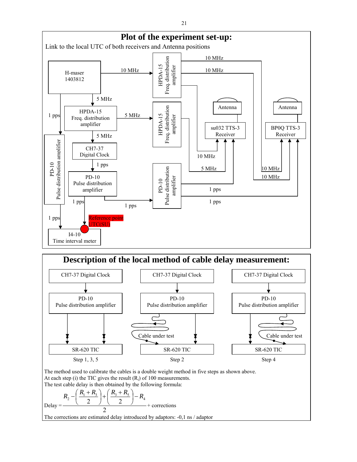



The method used to calibrate the cables is a double weight method in five steps as shown above. At each step (i) the TIC gives the result  $(R_i)$  of 100 measurements. The test cable delay is then obtained by the following formula:

$$
\text{Delay} = \frac{R_2 - \left(\frac{R_1 + R_3}{2}\right) + \left(\frac{R_3 + R_5}{2}\right) - R_4}{2} + \text{ corrections}
$$

The corrections are estimated delay introduced by adaptors: -0,1 ns / adaptor

21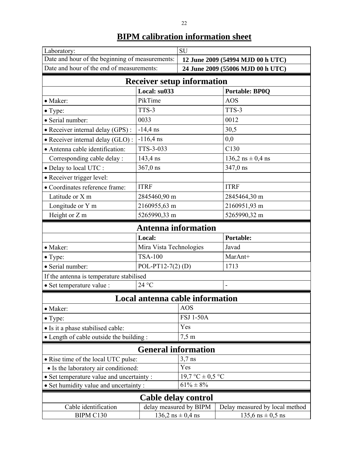| Laboratory:                                     |                                 | <b>SU</b>                         |                                   |  |
|-------------------------------------------------|---------------------------------|-----------------------------------|-----------------------------------|--|
| Date and hour of the beginning of measurements: |                                 | 12 June 2009 (54994 MJD 00 h UTC) |                                   |  |
| Date and hour of the end of measurements:       |                                 |                                   | 24 June 2009 (55006 MJD 00 h UTC) |  |
| <b>Receiver setup information</b>               |                                 |                                   |                                   |  |
|                                                 | Local: su033                    |                                   | <b>Portable: BP0Q</b>             |  |
| • Maker:                                        | PikTime                         |                                   | <b>AOS</b>                        |  |
| $\bullet$ Type:                                 | TTS-3                           |                                   | TTS-3                             |  |
| · Serial number:                                | 0033                            |                                   | 0012                              |  |
| • Receiver internal delay (GPS) :               | $-14,4$ ns                      |                                   | 30,5                              |  |
| • Receiver internal delay (GLO) :               | $-116,4$ ns                     |                                   | 0,0                               |  |
| · Antenna cable identification:                 | TTS-3-033                       |                                   | C130                              |  |
| Corresponding cable delay :                     | 143,4 ns                        |                                   | $136,2$ ns $\pm 0,4$ ns           |  |
| · Delay to local UTC :                          | $367,0$ ns                      |                                   | 347,0 ns                          |  |
| • Receiver trigger level:                       |                                 |                                   |                                   |  |
| • Coordinates reference frame:                  | <b>ITRF</b>                     |                                   | <b>ITRF</b>                       |  |
| Latitude or X m                                 | 2845460,90 m                    |                                   | 2845464,30 m                      |  |
| Longitude or Y m                                | 2160955,63 m                    |                                   | 2160951,93 m                      |  |
| Height or Z m                                   | 5265990,33 m                    |                                   | 5265990,32 m                      |  |
| <b>Antenna information</b>                      |                                 |                                   |                                   |  |
|                                                 | Local:                          |                                   | <b>Portable:</b>                  |  |
| • Maker:                                        | Mira Vista Technologies         |                                   | Javad                             |  |
| $\bullet$ Type:                                 | <b>TSA-100</b>                  |                                   | MarAnt+                           |  |
| · Serial number:                                | POL-PT12-7(2)(D)                |                                   | 1713                              |  |
| If the antenna is temperature stabilised        |                                 |                                   |                                   |  |
| · Set temperature value :                       | 24 °C                           |                                   |                                   |  |
|                                                 | Local antenna cable information |                                   |                                   |  |
| • Maker:                                        |                                 | <b>AOS</b>                        |                                   |  |
| $\bullet$ Type:                                 |                                 | <b>FSJ 1-50A</b>                  |                                   |  |
| • Is it a phase stabilised cable:               |                                 |                                   | Yes                               |  |
| • Length of cable outside the building:         |                                 |                                   | $7,5 \text{ m}$                   |  |
| <b>General information</b>                      |                                 |                                   |                                   |  |
| • Rise time of the local UTC pulse:             |                                 | $3,7$ ns                          |                                   |  |
| • Is the laboratory air conditioned:            |                                 | Yes                               |                                   |  |
| • Set temperature value and uncertainty :       |                                 | 19,7 °C $\pm$ 0,5 °C              |                                   |  |
| · Set humidity value and uncertainty :          |                                 | $61\% \pm 8\%$                    |                                   |  |
| Cable delay control                             |                                 |                                   |                                   |  |
| Cable identification                            | delay measured by BIPM          | Delay measured by local method    |                                   |  |
| BIPM C130                                       |                                 | $136,2$ ns $\pm 0,4$ ns           | $135,6$ ns $\pm 0,5$ ns           |  |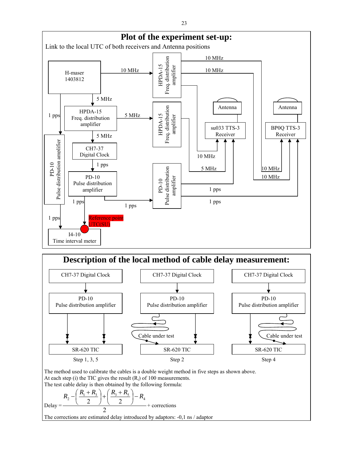



The method used to calibrate the cables is a double weight method in five steps as shown above. At each step (i) the TIC gives the result  $(R_i)$  of 100 measurements. The test cable delay is then obtained by the following formula:

$$
\text{Delay} = \frac{R_2 - \left(\frac{R_1 + R_3}{2}\right) + \left(\frac{R_3 + R_5}{2}\right) - R_4}{2} + \text{ corrections}
$$

The corrections are estimated delay introduced by adaptors: -0,1 ns / adaptor

23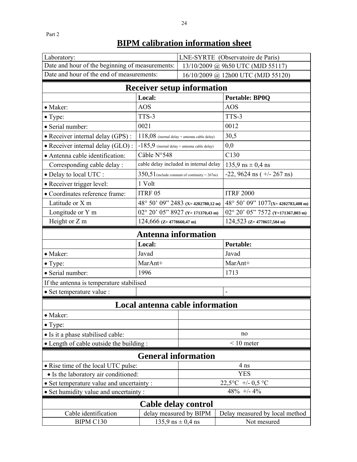| Laboratory:                                     |                                                | LNE-SYRTE (Observatoire de Paris)                 |                                   |  |
|-------------------------------------------------|------------------------------------------------|---------------------------------------------------|-----------------------------------|--|
| Date and hour of the beginning of measurements: |                                                | 13/10/2009 @ 9h50 UTC (MJD 55117)                 |                                   |  |
| Date and hour of the end of measurements:       |                                                | 16/10/2009 @ 12h00 UTC (MJD 55120)                |                                   |  |
| <b>Receiver setup information</b>               |                                                |                                                   |                                   |  |
|                                                 | Local:                                         |                                                   | <b>Portable: BP0Q</b>             |  |
| • Maker:                                        | <b>AOS</b>                                     |                                                   | <b>AOS</b>                        |  |
| $\bullet$ Type:                                 | TTS-3                                          |                                                   | TTS-3                             |  |
| • Serial number:                                | 0021                                           |                                                   | 0012                              |  |
| • Receiver internal delay (GPS) :               | $118,08$ (inernal delay + antenna cable delay) |                                                   | 30,5                              |  |
| • Receiver internal delay (GLO):                | $-185,9$ (inernal delay + antenna cable delay) |                                                   | 0,0                               |  |
| · Antenna cable identification:                 | Câble N°548                                    |                                                   | C130                              |  |
| Corresponding cable delay :                     |                                                | cable delay included in internal delay            | $135,9$ ns $\pm 0,4$ ns           |  |
| • Delay to local UTC :                          |                                                | $350,51$ (include constant of continuity = 267ns) | $-22$ , 9624 ns ( $+/- 267$ ns)   |  |
| • Receiver trigger level:                       | 1 Volt                                         |                                                   |                                   |  |
| · Coordinates reference frame:                  | ITRF 05                                        |                                                   | <b>ITRF 2000</b>                  |  |
| Latitude or X m                                 |                                                | 48° 50' 09" 2483 (x=4202780,12 m)                 | 48° 50' 09" 1077(x=4202783,408 m) |  |
| Longitude or Y m                                |                                                | $02^{\circ}$ 20' 05" 8927 (Y=171370,43 m)         | 02° 20' 05" 7572 (Y=171367,803 m) |  |
| Height or Z m                                   | $124,666$ (Z=4778660,47 m)                     |                                                   | $124,523$ (Z= 4778657,504 m)      |  |
| <b>Antenna information</b>                      |                                                |                                                   |                                   |  |
|                                                 | Local:                                         |                                                   | Portable:                         |  |
|                                                 |                                                |                                                   |                                   |  |
| • Maker:                                        | Javad                                          |                                                   | Javad                             |  |
| $\bullet$ Type:                                 | MarAnt+                                        |                                                   | MarAnt+                           |  |
| · Serial number:                                | 1996                                           |                                                   | 1713                              |  |
| If the antenna is temperature stabilised        |                                                |                                                   |                                   |  |
| · Set temperature value :                       |                                                |                                                   |                                   |  |
|                                                 | Local antenna cable information                |                                                   |                                   |  |
| • Maker:                                        |                                                |                                                   |                                   |  |
| $\bullet$ Type:                                 |                                                |                                                   |                                   |  |
| • Is it a phase stabilised cable:               |                                                |                                                   | no                                |  |
| • Length of cable outside the building:         |                                                |                                                   | $\leq 10$ meter                   |  |
|                                                 | <b>General information</b>                     |                                                   |                                   |  |
| • Rise time of the local UTC pulse:             |                                                |                                                   | 4 ns                              |  |
| • Is the laboratory air conditioned:            |                                                |                                                   | <b>YES</b>                        |  |
| • Set temperature value and uncertainty :       |                                                |                                                   | 22,5°C +/- 0,5 °C                 |  |
| • Set humidity value and uncertainty :          |                                                |                                                   | $48\% +14\%$                      |  |
|                                                 |                                                |                                                   |                                   |  |
| Cable identification                            | <b>Cable delay control</b>                     | delay measured by BIPM                            | Delay measured by local method    |  |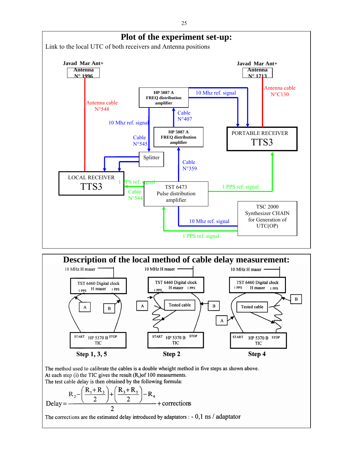



The method used to calibrate the cables is a double wheight method in five steps as shown above. At each step (i) the TIC gives the result  $(R_i)$  of 100 measurments. The test cable delay is then obtained by the following formula:

$$
\text{Delay} = \frac{R_2 - \left(\frac{R_1 + R_3}{2}\right) + \left(\frac{R_3 + R_5}{2}\right) - R_4}{2} + \text{corrections}
$$

The corrections are the estimated delay introduced by adaptators :  $-0,1 \text{ ns}$  / adaptator

25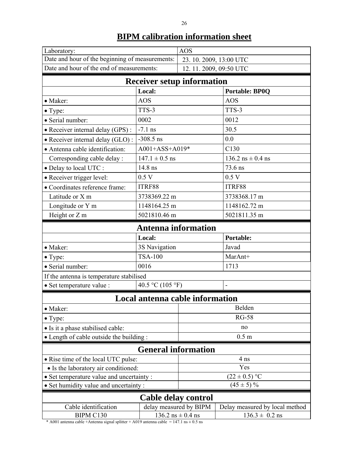| Laboratory:                                     |                                 | <b>AOS</b>              |                                |  |
|-------------------------------------------------|---------------------------------|-------------------------|--------------------------------|--|
| Date and hour of the beginning of measurements: |                                 | 23. 10. 2009, 13:00 UTC |                                |  |
| Date and hour of the end of measurements:       |                                 | 12.11.2009, 09:50 UTC   |                                |  |
| <b>Receiver setup information</b>               |                                 |                         |                                |  |
|                                                 | Local:                          |                         | <b>Portable: BP0Q</b>          |  |
| • Maker:                                        | <b>AOS</b>                      |                         | <b>AOS</b>                     |  |
| $\bullet$ Type:                                 | TTS-3                           |                         | TTS-3                          |  |
| · Serial number:                                | 0002                            |                         | 0012                           |  |
| · Receiver internal delay (GPS):                | $-7.1$ ns                       |                         | 30.5                           |  |
| • Receiver internal delay (GLO):                | $-308.5$ ns                     |                         | 0.0                            |  |
| • Antenna cable identification:                 | A001+ASS+A019*                  |                         | C130                           |  |
| Corresponding cable delay :                     | $147.1 \pm 0.5$ ns              |                         | 136.2 $ns \pm 0.4$ ns          |  |
| · Delay to local UTC :                          | 14.8 ns                         |                         | 73.6 ns                        |  |
| · Receiver trigger level:                       | 0.5 V                           |                         | 0.5V                           |  |
| • Coordinates reference frame:                  | ITRF88                          |                         | ITRF88                         |  |
| Latitude or X m                                 | 3738369.22 m                    |                         | 3738368.17 m                   |  |
| Longitude or Y m                                | 1148164.25 m                    |                         | 1148162.72 m                   |  |
| Height or Z m                                   | 5021810.46 m                    |                         | 5021811.35 m                   |  |
| <b>Antenna information</b>                      |                                 |                         |                                |  |
|                                                 | Local:                          |                         | <b>Portable:</b>               |  |
| • Maker:                                        | 3S Navigation                   |                         | Javad                          |  |
| $\bullet$ Type:                                 | <b>TSA-100</b>                  |                         | MarAnt+                        |  |
| · Serial number:                                | 0016                            |                         | 1713                           |  |
| If the antenna is temperature stabilised        |                                 |                         |                                |  |
| • Set temperature value :                       | 40.5 °C (105 °F)                |                         |                                |  |
|                                                 | Local antenna cable information |                         |                                |  |
| • Maker:                                        |                                 | Belden                  |                                |  |
| $\bullet$ Type:                                 |                                 | <b>RG-58</b>            |                                |  |
| • Is it a phase stabilised cable:               |                                 | no                      |                                |  |
| • Length of cable outside the building :        |                                 | 0.5 <sub>m</sub>        |                                |  |
| <b>General information</b>                      |                                 |                         |                                |  |
| • Rise time of the local UTC pulse:             |                                 | 4 ns                    |                                |  |
| • Is the laboratory air conditioned:            |                                 | Yes                     |                                |  |
| • Set temperature value and uncertainty:        |                                 | $(22 \pm 0.5)$ °C       |                                |  |
| • Set humidity value and uncertainty :          |                                 | $(45 \pm 5)\%$          |                                |  |
| Cable delay control                             |                                 |                         |                                |  |
| Cable identification                            | delay measured by BIPM          |                         | Delay measured by local method |  |
| BIPM C130                                       | $136.2$ ns $\pm$ 0.4 ns         |                         | $136.3 \pm 0.2$ ns             |  |

\* A001 antenna cable +Antenna signal splitter + A019 antenna cable = 147.1 ns  $\pm$  0.5 ns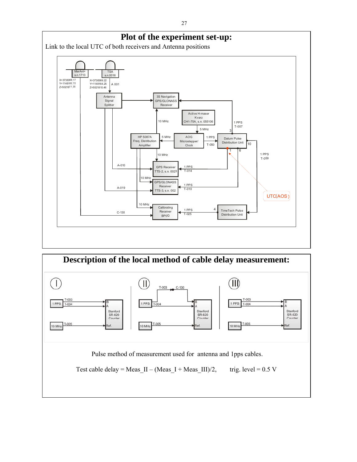

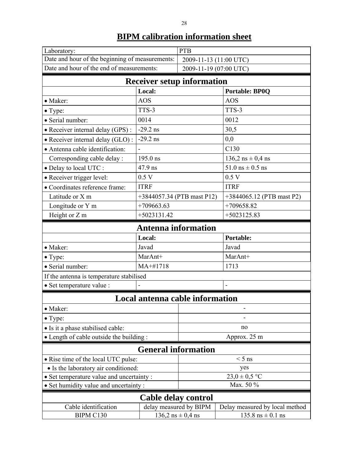| Laboratory:<br>Date and hour of the beginning of measurements: |                                   | <b>PTB</b>                                       |                                     |  |
|----------------------------------------------------------------|-----------------------------------|--------------------------------------------------|-------------------------------------|--|
| Date and hour of the end of measurements:                      |                                   | 2009-11-13 (11:00 UTC)<br>2009-11-19 (07:00 UTC) |                                     |  |
|                                                                | <b>Receiver setup information</b> |                                                  |                                     |  |
|                                                                | Local:                            |                                                  | <b>Portable: BP0Q</b>               |  |
| • Maker:                                                       | <b>AOS</b>                        |                                                  | AOS                                 |  |
| $\bullet$ Type:                                                | TTS-3                             |                                                  | TTS-3                               |  |
| · Serial number:                                               | 0014                              |                                                  | 0012                                |  |
| • Receiver internal delay (GPS) :                              | $-29.2$ ns                        |                                                  | 30,5                                |  |
| · Receiver internal delay (GLO):                               | $-29.2$ ns                        |                                                  | 0,0                                 |  |
| • Antenna cable identification:                                |                                   |                                                  | C130                                |  |
| Corresponding cable delay :                                    | 195.0 ns                          |                                                  | $136,2$ ns $\pm$ 0,4 ns             |  |
| • Delay to local UTC :                                         | 47.9 ns                           |                                                  | 51.0 $\text{ns} \pm 0.5 \text{ ns}$ |  |
| • Receiver trigger level:                                      | 0.5V                              |                                                  | 0.5V                                |  |
| • Coordinates reference frame:                                 | <b>ITRF</b>                       |                                                  | <b>ITRF</b>                         |  |
| Latitude or X m                                                | +3844057.34 (PTB mast P12)        |                                                  | +3844065.12 (PTB mast P2)           |  |
| Longitude or Y m                                               | $+709663.63$                      |                                                  | $+709658.82$                        |  |
| Height or Z m<br>$+5023131.42$                                 |                                   | $+5023125.83$                                    |                                     |  |
| <b>Antenna information</b>                                     |                                   |                                                  |                                     |  |
|                                                                | Local:                            |                                                  | Portable:                           |  |
| • Maker:                                                       | Javad                             |                                                  | Javad                               |  |
| • Type:                                                        | MarAnt+                           |                                                  | MarAnt+                             |  |
| · Serial number:                                               | MA+#1718                          |                                                  | 1713                                |  |
| If the antenna is temperature stabilised                       |                                   |                                                  |                                     |  |
| · Set temperature value :                                      |                                   |                                                  |                                     |  |
|                                                                | Local antenna cable information   |                                                  |                                     |  |
| • Maker:                                                       |                                   |                                                  |                                     |  |
| $\bullet$ Type:                                                |                                   |                                                  |                                     |  |
| • Is it a phase stabilised cable:                              |                                   | no                                               |                                     |  |
| • Length of cable outside the building:                        |                                   | Approx. 25 m                                     |                                     |  |
|                                                                | <b>General information</b>        |                                                  |                                     |  |
| • Rise time of the local UTC pulse:                            |                                   |                                                  | $< 5$ ns                            |  |
| • Is the laboratory air conditioned:                           |                                   | yes                                              |                                     |  |
| • Set temperature value and uncertainty :                      |                                   |                                                  | $23,0 \pm 0,5$ °C                   |  |
| • Set humidity value and uncertainty:                          |                                   |                                                  | Max. 50 %                           |  |
|                                                                | Cable delay control               |                                                  |                                     |  |
| Cable identification                                           | delay measured by BIPM            | Delay measured by local method                   |                                     |  |
| BIPM C130                                                      |                                   | $136,2$ ns $\pm 0,4$ ns                          | $135.8$ ns $\pm$ 0.1 ns             |  |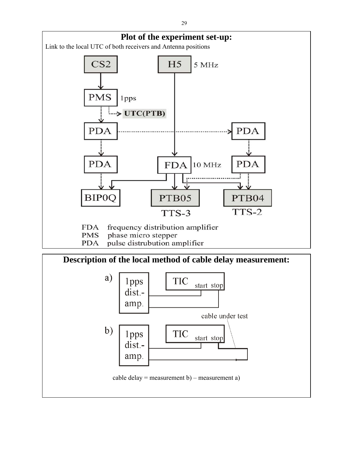

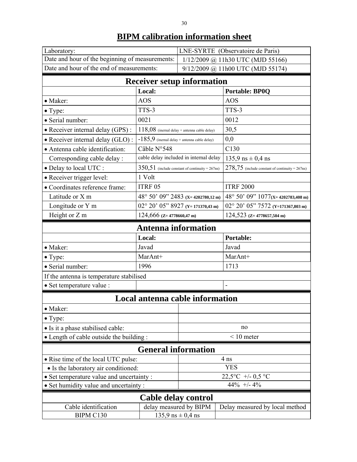| Laboratory:                                     |                                                   | <b>LNE-SYRTE</b> (Observatoire de Paris) |                                                   |  |
|-------------------------------------------------|---------------------------------------------------|------------------------------------------|---------------------------------------------------|--|
| Date and hour of the beginning of measurements: |                                                   | 1/12/2009 @ 11h30 UTC (MJD 55166)        |                                                   |  |
| Date and hour of the end of measurements:       |                                                   | 9/12/2009 @ 11h00 UTC (MJD 55174)        |                                                   |  |
|                                                 | <b>Receiver setup information</b>                 |                                          |                                                   |  |
|                                                 | Local:                                            |                                          | <b>Portable: BP0Q</b>                             |  |
| • Maker:                                        | <b>AOS</b>                                        |                                          | <b>AOS</b>                                        |  |
| • Type:                                         | TTS-3                                             |                                          | TTS-3                                             |  |
| · Serial number:                                | 0021                                              |                                          | 0012                                              |  |
| • Receiver internal delay (GPS) :               | $118,08$ (inernal delay + antenna cable delay)    |                                          | 30,5                                              |  |
| · Receiver internal delay (GLO):                | $-185,9$ (inernal delay + antenna cable delay)    |                                          | 0,0                                               |  |
| • Antenna cable identification:                 | Câble N°548                                       |                                          | C130                                              |  |
| Corresponding cable delay :                     | cable delay included in internal delay            |                                          | $135,9$ ns $\pm 0,4$ ns                           |  |
| · Delay to local UTC :                          | $350,51$ (include constant of continuity = 267ns) |                                          | $278,75$ (include constant of continuity = 267ns) |  |
| • Receiver trigger level:                       | 1 Volt                                            |                                          |                                                   |  |
| • Coordinates reference frame:                  | ITRF 05                                           |                                          | <b>ITRF 2000</b>                                  |  |
| Latitude or X m                                 | 48° 50' 09" 2483 (x=4202780,12 m)                 |                                          | 48° 50' 09" 1077(x=4202783,408 m)                 |  |
| Longitude or Y m                                | $02^{\circ}$ 20' 05" 8927 (Y=171370,43 m)         |                                          | 02° 20' 05" 7572 (Y=171367,803 m)                 |  |
| Height or Z m                                   | $124,666$ (Z= 4778660,47 m)                       |                                          | $124,523$ (Z= 4778657,504 m)                      |  |
| <b>Antenna information</b>                      |                                                   |                                          |                                                   |  |
| Local:                                          |                                                   |                                          |                                                   |  |
|                                                 |                                                   |                                          | <b>Portable:</b>                                  |  |
| • Maker:                                        | Javad                                             |                                          | Javad                                             |  |
| $\bullet$ Type:                                 | MarAnt+                                           |                                          | MarAnt+                                           |  |
| · Serial number:                                | 1996                                              |                                          | 1713                                              |  |
| If the antenna is temperature stabilised        |                                                   |                                          |                                                   |  |
| · Set temperature value :                       |                                                   |                                          |                                                   |  |
|                                                 |                                                   |                                          |                                                   |  |
| · Maker:                                        | Local antenna cable information                   |                                          |                                                   |  |
| $\bullet$ Type:                                 |                                                   |                                          |                                                   |  |
| • Is it a phase stabilised cable:               |                                                   |                                          | no                                                |  |
| • Length of cable outside the building:         |                                                   |                                          | $< 10$ meter                                      |  |
|                                                 | <b>General information</b>                        |                                          |                                                   |  |
| • Rise time of the local UTC pulse:             |                                                   |                                          | 4 ns                                              |  |
| • Is the laboratory air conditioned:            |                                                   |                                          | <b>YES</b>                                        |  |
| • Set temperature value and uncertainty :       |                                                   |                                          | $22,5^{\circ}$ C +/- 0,5 $^{\circ}$ C             |  |
| • Set humidity value and uncertainty:           |                                                   |                                          | $44\%$ +/- $4\%$                                  |  |
|                                                 |                                                   |                                          |                                                   |  |
| Cable identification                            | Cable delay control                               | delay measured by BIPM                   | Delay measured by local method                    |  |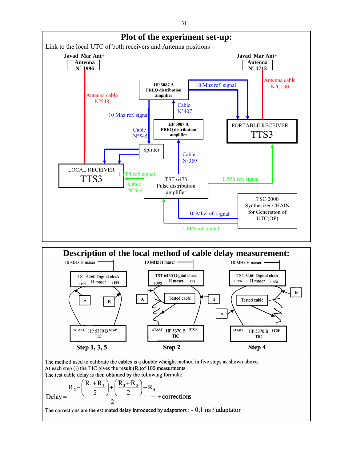



The test cable delay is then obtained by the following formula:

$$
\text{Delay} = \frac{R_2 - \left(\frac{R_1 + R_3}{2}\right) + \left(\frac{R_3 + R_5}{2}\right) - R_4}{2} + \text{corrections}
$$

The corrections are the estimated delay introduced by adaptators :  $-0,1$  ns / adaptator

31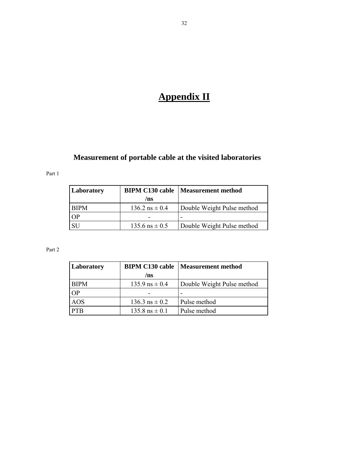# **Appendix II**

### **Measurement of portable cable at the visited laboratories**

Part 1

| Laboratory | <b>BIPM C130 cable</b> | Measurement method         |
|------------|------------------------|----------------------------|
|            | /ns                    |                            |
| BIPM       | $136.2$ ns $\pm 0.4$   | Double Weight Pulse method |
| OP         |                        |                            |
| SI 1       | $135.6$ ns $\pm 0.5$   | Double Weight Pulse method |

| Laboratory  |                             | <b>BIPM C130 cable   Measurement method</b> |
|-------------|-----------------------------|---------------------------------------------|
|             | /ns                         |                                             |
| <b>BIPM</b> | $135.9$ ns $\pm 0.4$        | Double Weight Pulse method                  |
| OР          |                             |                                             |
| <b>AOS</b>  | $136.3$ ns $\pm 0.2$        | Pulse method                                |
|             | $135.8 \text{ ns } \pm 0.1$ | Pulse method                                |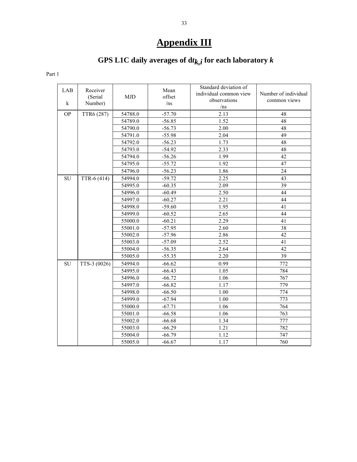# **Appendix III**

# GPS L1C daily averages of  $dt_{k,i}$  for each laboratory  $k$

| LAB<br>$\bf k$ | Receiver<br>(Serial<br>Number) | <b>MJD</b> | Mean<br>offset<br>/ns | Standard deviation of<br>individual common view<br>observations<br>/ns | Number of individual<br>common views |
|----------------|--------------------------------|------------|-----------------------|------------------------------------------------------------------------|--------------------------------------|
| <b>OP</b>      | TTR6 (287)                     | 54788.0    | $-57.70$              | 2.13                                                                   | 48                                   |
|                |                                | 54789.0    | $-56.85$              | 1.52                                                                   | 48                                   |
|                |                                | 54790.0    | $-56.73$              | 2.00                                                                   | 48                                   |
|                |                                | 54791.0    | $-55.98$              | 2.04                                                                   | 49                                   |
|                |                                | 54792.0    | $-56.23$              | 1.73                                                                   | 48                                   |
|                |                                | 54793.0    | $-54.92$              | 2.33                                                                   | 48                                   |
|                |                                | 54794.0    | $-56.26$              | 1.99                                                                   | $\overline{42}$                      |
|                |                                | 54795.0    | $-55.72$              | 1.92                                                                   | 47                                   |
|                |                                | 54796.0    | $-56.23$              | 1.86                                                                   | 24                                   |
| ${\rm SU}$     | TTR-6 (414)                    | 54994.0    | $-59.72$              | 2.25                                                                   | 43                                   |
|                |                                | 54995.0    | $-60.35$              | 2.09                                                                   | 39                                   |
|                |                                | 54996.0    | $-60.49$              | 2.50                                                                   | 44                                   |
|                |                                | 54997.0    | $-60.27$              | 2.21                                                                   | 44                                   |
|                |                                | 54998.0    | $-59.60$              | 1.95                                                                   | 41                                   |
|                |                                | 54999.0    | $-60.52$              | 2.65                                                                   | 44                                   |
|                |                                | 55000.0    | $-60.21$              | 2.29                                                                   | 41                                   |
|                |                                | 55001.0    | $-57.95$              | 2.60                                                                   | 38                                   |
|                |                                | 55002.0    | $-57.96$              | 2.86                                                                   | 42                                   |
|                |                                | 55003.0    | $-57.09$              | 2.52                                                                   | 41                                   |
|                |                                | 55004.0    | $-56.35$              | 2.64                                                                   | 42                                   |
|                |                                | 55005.0    | $-55.35$              | 2.20                                                                   | 39                                   |
| SU             | TTS-3 (0026)                   | 54994.0    | $-66.62$              | 0.99                                                                   | 772                                  |
|                |                                | 54995.0    | $-66.43$              | 1.05                                                                   | 784                                  |
|                |                                | 54996.0    | $-66.72$              | 1.06                                                                   | 767                                  |
|                |                                | 54997.0    | $-66.82$              | 1.17                                                                   | 779                                  |
|                |                                | 54998.0    | $-66.50$              | 1.00                                                                   | 774                                  |
|                |                                | 54999.0    | $-67.94$              | 1.00                                                                   | 773                                  |
|                |                                | 55000.0    | $-67.71$              | 1.06                                                                   | 764                                  |
|                |                                | 55001.0    | $-66.58$              | 1.06                                                                   | 763                                  |
|                |                                | 55002.0    | $-66.68$              | 1.34                                                                   | 777                                  |
|                |                                | 55003.0    | $-66.29$              | 1.21                                                                   | 782                                  |
|                |                                | 55004.0    | $-66.79$              | 1.12                                                                   | 747                                  |
|                |                                | 55005.0    | $-66.67$              | 1.17                                                                   | 760                                  |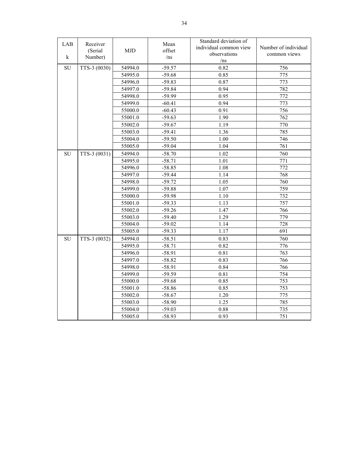| LAB<br>$\bf k$ | Receiver<br>(Serial)<br>Number) | <b>MJD</b> | Mean<br>offset<br>/ns | Standard deviation of<br>individual common view<br>observations<br>/ns | Number of individual<br>common views |
|----------------|---------------------------------|------------|-----------------------|------------------------------------------------------------------------|--------------------------------------|
| <b>SU</b>      | TTS-3 (0030)                    | 54994.0    | $-59.57$              | 0.82                                                                   | 756                                  |
|                |                                 | 54995.0    | $-59.68$              | 0.85                                                                   | 775                                  |
|                |                                 | 54996.0    | $-59.83$              | 0.87                                                                   | 773                                  |
|                |                                 | 54997.0    | $-59.84$              | 0.94                                                                   | 782                                  |
|                |                                 | 54998.0    | $-59.99$              | 0.95                                                                   | 772                                  |
|                |                                 | 54999.0    | $-60.41$              | 0.94                                                                   | 773                                  |
|                |                                 | 55000.0    | $-60.43$              | 0.91                                                                   | 756                                  |
|                |                                 | 55001.0    | $-59.63$              | 1.90                                                                   | 762                                  |
|                |                                 | 55002.0    | $-59.67$              | 1.19                                                                   | 770                                  |
|                |                                 | 55003.0    | $-59.41$              | 1.36                                                                   | 785                                  |
|                |                                 | 55004.0    | $-59.50$              | $1.00\,$                                                               | 746                                  |
|                |                                 | 55005.0    | $-59.04$              | 1.04                                                                   | 761                                  |
| <b>SU</b>      | TTS-3 (0031)                    | 54994.0    | $-58.70$              | 1.02                                                                   | 760                                  |
|                |                                 | 54995.0    | $-58.71$              | 1.01                                                                   | 771                                  |
|                |                                 | 54996.0    | $-58.85$              | 1.08                                                                   | 772                                  |
|                |                                 | 54997.0    | $-59.44$              | 1.14                                                                   | 768                                  |
|                |                                 | 54998.0    | $-59.72$              | 1.05                                                                   | 760                                  |
|                |                                 | 54999.0    | $-59.88$              | 1.07                                                                   | 759                                  |
|                |                                 | 55000.0    | $-59.98$              | 1.10                                                                   | 732                                  |
|                |                                 | 55001.0    | $-59.33$              | 1.13                                                                   | 757                                  |
|                |                                 | 55002.0    | $-59.26$              | 1.47                                                                   | 766                                  |
|                |                                 | 55003.0    | $-59.40$              | 1.29                                                                   | 779                                  |
|                |                                 | 55004.0    | $-59.02$              | 1.14                                                                   | 728                                  |
|                |                                 | 55005.0    | $-59.33$              | 1.17                                                                   | 691                                  |
| SU             | TTS-3 (0032)                    | 54994.0    | $-58.51$              | 0.83                                                                   | 760                                  |
|                |                                 | 54995.0    | $-58.71$              | 0.82                                                                   | 776                                  |
|                |                                 | 54996.0    | $-58.91$              | 0.81                                                                   | 763                                  |
|                |                                 | 54997.0    | $-58.82$              | 0.83                                                                   | 766                                  |
|                |                                 | 54998.0    | $-58.91$              | 0.84                                                                   | 766                                  |
|                |                                 | 54999.0    | $-59.59$              | 0.81                                                                   | 754                                  |
|                |                                 | 55000.0    | $-59.68$              | 0.85                                                                   | 753                                  |
|                |                                 | 55001.0    | $-58.86$              | 0.85                                                                   | 753                                  |
|                |                                 | 55002.0    | $-58.67$              | 1.20                                                                   | 775                                  |
|                |                                 | 55003.0    | $-58.90$              | 1.25                                                                   | 785                                  |
|                |                                 | 55004.0    | $-59.03$              | 0.88                                                                   | 735                                  |
|                |                                 | 55005.0    | $-58.93$              | 0.93                                                                   | 751                                  |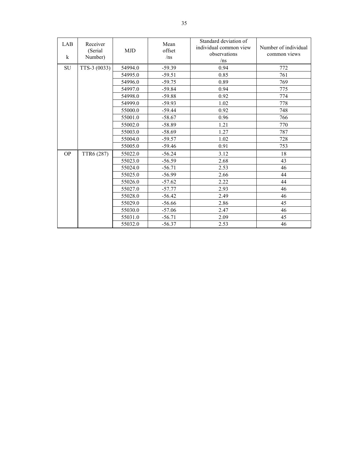| LAB<br>$\bf k$ | Receiver<br>(Serial)<br>Number) | <b>MJD</b> | Mean<br>offset<br>/ns | Standard deviation of<br>individual common view<br>observations<br>/ns | Number of individual<br>common views |
|----------------|---------------------------------|------------|-----------------------|------------------------------------------------------------------------|--------------------------------------|
| <b>SU</b>      | TTS-3 (0033)                    | 54994.0    | $-59.39$              | 0.94                                                                   | 772                                  |
|                |                                 | 54995.0    | $-59.51$              | 0.85                                                                   | 761                                  |
|                |                                 | 54996.0    | $-59.75$              | 0.89                                                                   | 769                                  |
|                |                                 | 54997.0    | $-59.84$              | 0.94                                                                   | 775                                  |
|                |                                 | 54998.0    | $-59.88$              | 0.92                                                                   | 774                                  |
|                |                                 | 54999.0    | $-59.93$              | 1.02                                                                   | 778                                  |
|                |                                 | 55000.0    | $-59.44$              | 0.92                                                                   | 748                                  |
|                |                                 | 55001.0    | $-58.67$              | 0.96                                                                   | 766                                  |
|                |                                 | 55002.0    | $-58.89$              | 1.21                                                                   | 770                                  |
|                |                                 | 55003.0    | $-58.69$              | 1.27                                                                   | 787                                  |
|                |                                 | 55004.0    | $-59.57$              | 1.02                                                                   | 728                                  |
|                |                                 | 55005.0    | $-59.46$              | 0.91                                                                   | 753                                  |
| <b>OP</b>      | TTR6 (287)                      | 55022.0    | $-56.24$              | 3.12                                                                   | 18                                   |
|                |                                 | 55023.0    | $-56.59$              | 2.68                                                                   | 43                                   |
|                |                                 | 55024.0    | $-56.71$              | 2.53                                                                   | 46                                   |
|                |                                 | 55025.0    | $-56.99$              | 2.66                                                                   | 44                                   |
|                |                                 | 55026.0    | $-57.62$              | 2.22                                                                   | 44                                   |
|                |                                 | 55027.0    | $-57.77$              | 2.93                                                                   | 46                                   |
|                |                                 | 55028.0    | $-56.42$              | 2.49                                                                   | 46                                   |
|                |                                 | 55029.0    | $-56.66$              | 2.86                                                                   | 45                                   |
|                |                                 | 55030.0    | $-57.06$              | 2.47                                                                   | 46                                   |
|                |                                 | 55031.0    | $-56.71$              | 2.09                                                                   | 45                                   |
|                |                                 | 55032.0    | $-56.37$              | 2.53                                                                   | 46                                   |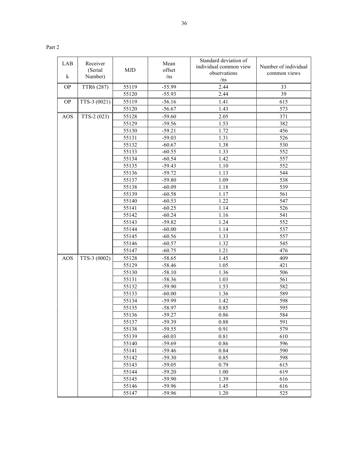|--|--|

| LAB        | Receiver<br>(Serial | <b>MJD</b> | Mean<br>offset | Standard deviation of<br>individual common view | Number of individual |
|------------|---------------------|------------|----------------|-------------------------------------------------|----------------------|
| $\bf k$    | Number)             |            | /ns            | observations<br>/ns                             | common views         |
| <b>OP</b>  | TTR6 (287)          | 55119      | $-55.99$       | 2.44                                            | 33                   |
|            |                     | 55120      | $-55.93$       | 2.44                                            | 39                   |
| <b>OP</b>  | TTS-3 (0021)        | 55119      | $-56.16$       | 1.41                                            | 615                  |
|            |                     | 55120      | $-56.67$       | 1.43                                            | 573                  |
| AOS        | TTS-2 (023)         | 55128      | $-59.60$       | 2.05                                            | 371                  |
|            |                     | 55129      | $-59.56$       | 1.53                                            | 382                  |
|            |                     | 55130      | $-59.21$       | 1.72                                            | 456                  |
|            |                     | 55131      | $-59.03$       | 1.31                                            | 526                  |
|            |                     | 55132      | $-60.67$       | 1.38                                            | 530                  |
|            |                     | 55133      | $-60.55$       | 1.33                                            | 552                  |
|            |                     | 55134      | $-60.54$       | 1.42                                            | 557                  |
|            |                     | 55135      | $-59.43$       | 1.10                                            | 552                  |
|            |                     | 55136      | $-59.72$       | 1.13                                            | 544                  |
|            |                     | 55137      | $-59.80$       | 1.09                                            | 538                  |
|            |                     | 55138      | $-60.09$       | 1.18                                            | 539                  |
|            |                     | 55139      | $-60.58$       | 1.17                                            | 561                  |
|            |                     | 55140      | $-60.53$       | 1.22                                            | 547                  |
|            |                     | 55141      | $-60.25$       | 1.14                                            | 526                  |
|            |                     | 55142      | $-60.24$       | 1.16                                            | 541                  |
|            |                     | 55143      | $-59.82$       | 1.24                                            | 552                  |
|            |                     | 55144      | $-60.00$       | 1.14                                            | 537                  |
|            |                     | 55145      | $-60.56$       | 1.33                                            | 557                  |
|            |                     | 55146      | $-60.57$       | 1.32                                            | 545                  |
|            |                     | 55147      | $-60.75$       | 1.21                                            | 476                  |
| <b>AOS</b> | TTS-3 (0002)        | 55128      | $-58.65$       | 1.45                                            | 409                  |
|            |                     | 55129      | $-58.46$       | 1.05                                            | 421                  |
|            |                     | 55130      | $-58.10$       | 1.36                                            | 506                  |
|            |                     | 55131      | $-58.36$       | 1.03                                            | 561                  |
|            |                     | 55132      | $-59.90$       | 1.53                                            | 582                  |
|            |                     | 55133      | $-60.00$       | 1.36                                            | 589                  |
|            |                     | 55134      | $-59.99$       | 1.42                                            | 598                  |
|            |                     | 55135      | $-58.97$       | 0.85                                            | 595                  |
|            |                     | 55136      | $-59.27$       | 0.86                                            | 584                  |
|            |                     | 55137      | $-59.39$       | 0.88                                            | 591                  |
|            |                     | 55138      | $-59.55$       | 0.91                                            | 579                  |
|            |                     | 55139      | $-60.03$       | 0.81                                            | 610                  |
|            |                     | 55140      | $-59.69$       | 0.86                                            | 596                  |
|            |                     | 55141      | $-59.46$       | 0.84                                            | 590                  |
|            |                     | 55142      | $-59.30$       | 0.85                                            | 598                  |
|            |                     | 55143      | $-59.05$       | 0.79                                            | 615                  |
|            |                     | 55144      | $-59.20$       | 1.00                                            | 619                  |
|            |                     | 55145      | $-59.90$       | 1.39                                            | 616                  |
|            |                     | 55146      | $-59.96$       | 1.45                                            | 616                  |
|            |                     | 55147      | $-59.96$       | 1.20                                            | 525                  |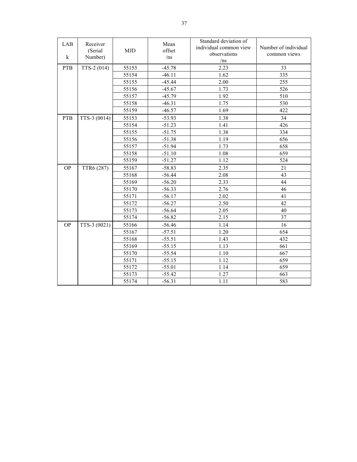| LAB<br>$\bf k$ | Receiver<br>(Serial<br>Number) | <b>MJD</b> | Mean<br>offset<br>/ns | Standard deviation of<br>individual common view<br>observations<br>/ns | Number of individual<br>common views |
|----------------|--------------------------------|------------|-----------------------|------------------------------------------------------------------------|--------------------------------------|
| <b>PTB</b>     | TTS-2 (014)                    | 55153      | $-45.78$              | 2.23                                                                   | 33                                   |
|                |                                | 55154      | $-46.11$              | 1.62                                                                   | 335                                  |
|                |                                | 55155      | $-45.44$              | 2.00                                                                   | 255                                  |
|                |                                | 55156      | $-45.67$              | 1.73                                                                   | 526                                  |
|                |                                | 55157      | $-45.79$              | 1.92                                                                   | 510                                  |
|                |                                | 55158      | $-46.31$              | 1.75                                                                   | 530                                  |
|                |                                | 55159      | $-46.57$              | 1.69                                                                   | 422                                  |
| <b>PTB</b>     | TTS-3 (0014)                   | 55153      | $-53.93$              | 1.38                                                                   | 34                                   |
|                |                                | 55154      | $-51.23$              | 1.41                                                                   | 426                                  |
|                |                                | 55155      | $-51.75$              | 1.38                                                                   | 334                                  |
|                |                                | 55156      | $-51.38$              | 1.19                                                                   | 656                                  |
|                |                                | 55157      | $-51.94$              | 1.73                                                                   | 658                                  |
|                |                                | 55158      | $-51.10$              | 1.08                                                                   | 659                                  |
|                |                                | 55159      | $-51.27$              | 1.12                                                                   | 524                                  |
| <b>OP</b>      | TTR6 (287)                     | 55167      | $-58.83$              | 2.35                                                                   | 21                                   |
|                |                                | 55168      | $-56.44$              | 2.08                                                                   | 43                                   |
|                |                                | 55169      | $-56.20$              | 2.33                                                                   | 44                                   |
|                |                                | 55170      | $-56.33$              | 2.76                                                                   | 46                                   |
|                |                                | 55171      | $-56.17$              | 2.02                                                                   | 41                                   |
|                |                                | 55172      | $-56.27$              | 2.50                                                                   | 42                                   |
|                |                                | 55173      | $-56.64$              | 2.05                                                                   | 40                                   |
|                |                                | 55174      | $-56.82$              | 2.15                                                                   | 37                                   |
| <b>OP</b>      | TTS-3 (0021)                   | 55166      | $-56.46$              | 1.14                                                                   | 16                                   |
|                |                                | 55167      | $-57.51$              | 1.20                                                                   | 654                                  |
|                |                                | 55168      | $-55.51$              | 1.43                                                                   | 432                                  |
|                |                                | 55169      | $-55.15$              | 1.13                                                                   | 661                                  |
|                |                                | 55170      | $-55.54$              | 1.10                                                                   | 667                                  |
|                |                                | 55171      | $-55.15$              | 1.12                                                                   | 659                                  |
|                |                                | 55172      | $-55.01$              | 1.14                                                                   | 659                                  |
|                |                                | 55173      | $-55.42$              | 1.27                                                                   | 663                                  |
|                |                                | 55174      | $-56.31$              | 1.11                                                                   | 583                                  |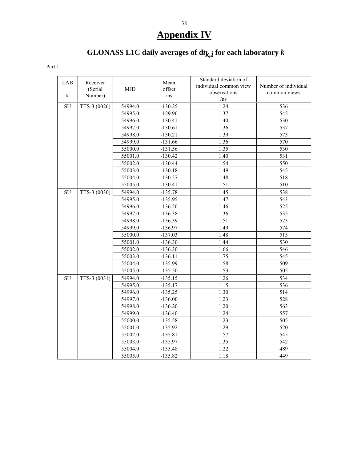# **Appendix IV**

# GLONASS L1C daily averages of  $dt_{k,i}$  for each laboratory  $k$

| LAB<br>k  | Receiver<br>(Serial)<br>Number) | <b>MJD</b> | Mean<br>offset<br>/ns | Standard deviation of<br>individual common view<br>observations<br>/ns | Number of individual<br>common views |
|-----------|---------------------------------|------------|-----------------------|------------------------------------------------------------------------|--------------------------------------|
| <b>SU</b> | TTS-3 (0026)                    | 54994.0    | $-130.25$             | 1.24                                                                   | 536                                  |
|           | 54995.0                         | $-129.96$  | 1.37                  | 545                                                                    |                                      |
|           | 54996.0                         | $-130.41$  | 1.40                  | 530                                                                    |                                      |
|           |                                 | 54997.0    | $-130.61$             | 1.36                                                                   | 537                                  |
|           |                                 | 54998.0    | $-130.21$             | 1.39                                                                   | 573                                  |
|           |                                 | 54999.0    | $-131.66$             | 1.36                                                                   | 570                                  |
|           |                                 | 55000.0    | $-131.56$             | 1.35                                                                   | 530                                  |
|           |                                 | 55001.0    | $-130.42$             | 1.40                                                                   | 531                                  |
|           |                                 | 55002.0    | $-130.44$             | 1.54                                                                   | 550                                  |
|           |                                 | 55003.0    | $-130.18$             | 1.49                                                                   | 545                                  |
|           |                                 | 55004.0    | $-130.57$             | 1.48                                                                   | 518                                  |
|           |                                 | 55005.0    | $-130.41$             | 1.51                                                                   | 510                                  |
| SU        | TTS-3 (0030)                    | 54994.0    | $-135.78$             | 1.45                                                                   | 538                                  |
|           |                                 | 54995.0    | $-135.95$             | 1.47                                                                   | 543                                  |
|           |                                 | 54996.0    | $-136.20$             | 1.46                                                                   | 525                                  |
|           |                                 | 54997.0    | $-136.38$             | 1.36                                                                   | 535                                  |
|           |                                 | 54998.0    | $-136.39$             | 1.51                                                                   | 573                                  |
|           |                                 | 54999.0    | $-136.97$             | 1.49                                                                   | 574                                  |
|           |                                 | 55000.0    | $-137.03$             | 1.48                                                                   | 515                                  |
|           |                                 | 55001.0    | $-136.30$             | 1.44                                                                   | 530                                  |
|           |                                 | 55002.0    | $-136.30$             | 1.66                                                                   | 546                                  |
|           |                                 | 55003.0    | $-136.11$             | 1.75                                                                   | 545                                  |
|           |                                 | 55004.0    | $-135.99$             | 1.58                                                                   | 509                                  |
|           |                                 | 55005.0    | $-135.50$             | 1.53                                                                   | 505                                  |
| SU        | TTS-3 (0031)                    | 54994.0    | $-135.15$             | 1.26                                                                   | 534                                  |
|           |                                 | 54995.0    | $-135.17$             | 1.15                                                                   | 536                                  |
|           |                                 | 54996.0    | $-135.25$             | 1.30                                                                   | 514                                  |
|           |                                 | 54997.0    | $-136.00$             | 1.23                                                                   | 528                                  |
|           |                                 | 54998.0    | $-136.20$             | 1.20                                                                   | 563                                  |
|           |                                 | 54999.0    | $-136.40$             | 1.24                                                                   | 557                                  |
|           |                                 | 55000.0    | $-135.58$             | 1.23                                                                   | 505                                  |
|           |                                 | 55001.0    | $-135.92$             | 1.29                                                                   | 520                                  |
|           |                                 | 55002.0    | $-135.81$             | 1.57                                                                   | 545                                  |
|           |                                 | 55003.0    | $-135.97$             | 1.35                                                                   | 542                                  |
|           |                                 | 55004.0    | $-135.48$             | 1.22                                                                   | 489                                  |
|           |                                 | 55005.0    | $-135.82$             | 1.18                                                                   | 449                                  |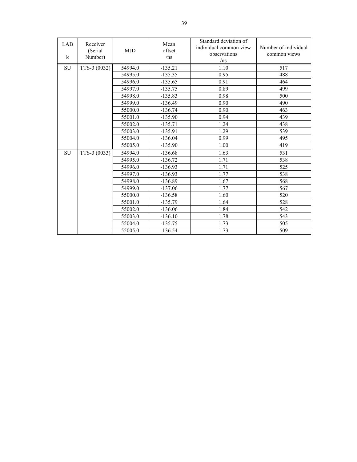| LAB<br>$\bf k$ | Receiver<br>(Serial)<br>Number) | <b>MJD</b> | Mean<br>offset<br>/ns | Standard deviation of<br>individual common view<br>observations<br>/ns | Number of individual<br>common views |
|----------------|---------------------------------|------------|-----------------------|------------------------------------------------------------------------|--------------------------------------|
| ${\rm SU}$     | TTS-3 (0032)                    | 54994.0    | $-135.21$             | 1.10                                                                   | 517                                  |
|                |                                 | 54995.0    | $-135.35$             | 0.95                                                                   | 488                                  |
|                |                                 | 54996.0    | $-135.65$             | 0.91                                                                   | 464                                  |
|                |                                 | 54997.0    | $-135.75$             | 0.89                                                                   | 499                                  |
|                |                                 | 54998.0    | $-135.83$             | 0.98                                                                   | 500                                  |
|                |                                 | 54999.0    | $-136.49$             | 0.90                                                                   | 490                                  |
|                |                                 | 55000.0    | $-136.74$             | 0.90                                                                   | 463                                  |
|                |                                 | 55001.0    | $-135.90$             | 0.94                                                                   | 439                                  |
|                |                                 | 55002.0    | $-135.71$             | 1.24                                                                   | 438                                  |
|                |                                 | 55003.0    | $-135.91$             | 1.29                                                                   | 539                                  |
|                |                                 | 55004.0    | $-136.04$             | 0.99                                                                   | 495                                  |
|                |                                 | 55005.0    | $-135.90$             | 1.00                                                                   | 419                                  |
| <b>SU</b>      | TTS-3 (0033)                    | 54994.0    | $-136.68$             | 1.63                                                                   | 531                                  |
|                |                                 | 54995.0    | $-136.72$             | 1.71                                                                   | 538                                  |
|                |                                 | 54996.0    | $-136.93$             | 1.71                                                                   | 525                                  |
|                |                                 | 54997.0    | $-136.93$             | 1.77                                                                   | 538                                  |
|                |                                 | 54998.0    | $-136.89$             | 1.67                                                                   | 568                                  |
|                |                                 | 54999.0    | $-137.06$             | 1.77                                                                   | 567                                  |
|                |                                 | 55000.0    | $-136.58$             | 1.60                                                                   | 520                                  |
|                |                                 | 55001.0    | $-135.79$             | 1.64                                                                   | 528                                  |
|                |                                 | 55002.0    | $-136.06$             | 1.84                                                                   | 542                                  |
|                |                                 | 55003.0    | $-136.10$             | 1.78                                                                   | 543                                  |
|                |                                 | 55004.0    | $-135.75$             | 1.73                                                                   | 505                                  |
|                |                                 | 55005.0    | $-136.54$             | 1.73                                                                   | 509                                  |